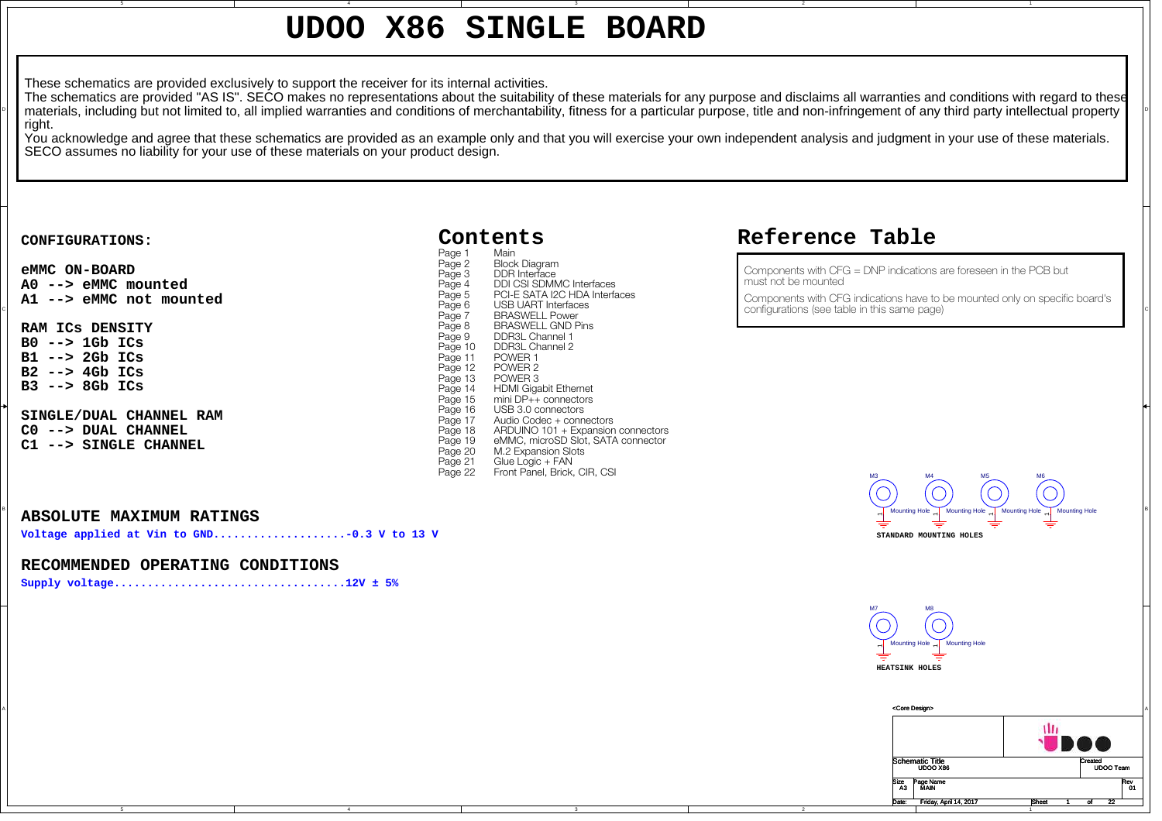# **UDOO X86 SINGLE BOARD**

These schematics are provided exclusively to support the receiver for its internal activities.

 $\lVert$  materials, including but not limited to, all implied warranties and conditions of merchantability, fitness for a particular purpose, title and non-infringement of any third party intellectual property  $\lVert \cdot \rVert$  The schematics are provided "AS IS". SECO makes no representations about the suitability of these materials for any purpose and disclaims all warranties and conditions with regard to theseright.

 You acknowledge and agree that these schematics are provided as an example only and that you will exercise your own independent analysis and judgment in your use of these materials. SECO assumes no liability for your use of these materials on your product design.

#### **CONFIGURATIONS:**

**eMMC ON-BOARD A0 --> eMMC mountedA1 --> eMMC not mounted**

# **RAM ICs DENSITY**

 **B0 --> 1Gb ICs B1 --> 2Gb ICs B2 --> 4Gb ICsB3 --> 8Gb ICs**

B

A

## **SINGLE/DUAL CHANNEL RAM**

**C0 --> DUAL CHANNEL**

**C1 --> SINGLE CHANNEL**

# **Contents**

| Page 1  | Main                               |
|---------|------------------------------------|
| Page 2  | <b>Block Diagram</b>               |
| Page 3  | <b>DDR</b> Interface               |
| Page 4  | <b>DDI CSI SDMMC Interfaces</b>    |
| Page 5  | PCI-E SATA I2C HDA Interfaces      |
| Page 6  | USB UART Interfaces                |
| Page 7  | <b>BRASWELL Power</b>              |
| Page 8  | <b>BRASWELL GND Pins</b>           |
| Page 9  | DDR3L Channel 1                    |
| Page 10 | DDR3L Channel 2                    |
| Page 11 | POWER 1                            |
| Page 12 | POWER 2                            |
| Page 13 | POWER 3                            |
| Page 14 | <b>HDMI Gigabit Ethernet</b>       |
| Page 15 | mini DP++ connectors               |
| Page 16 | USB 3.0 connectors                 |
| Page 17 | Audio Codec + connectors           |
| Page 18 | ARDUINO 101 + Expansion connectors |
| Page 19 | eMMC, microSD Slot, SATA connector |
| Page 20 | M.2 Expansion Slots                |
| Page 21 | Glue Logic + FAN                   |
| Page 22 | Front Panel, Brick, CIR, CSI       |

3

# **Reference Table**

2

2

Components with CFG = DNP indications are foreseen in the PCB butmust not be mounted

c and the configurations (see table in this same page) and the configurations (see table in this same page) and the configurations (see table in this same page) Components with CFG indications have to be mounted only on specific board's

5

**Voltage applied at Vin to GND....................-0.3 V to 13 V**

# **RECOMMENDED OPERATING CONDITIONS**

**Supply voltage...................................12V ± 5%**





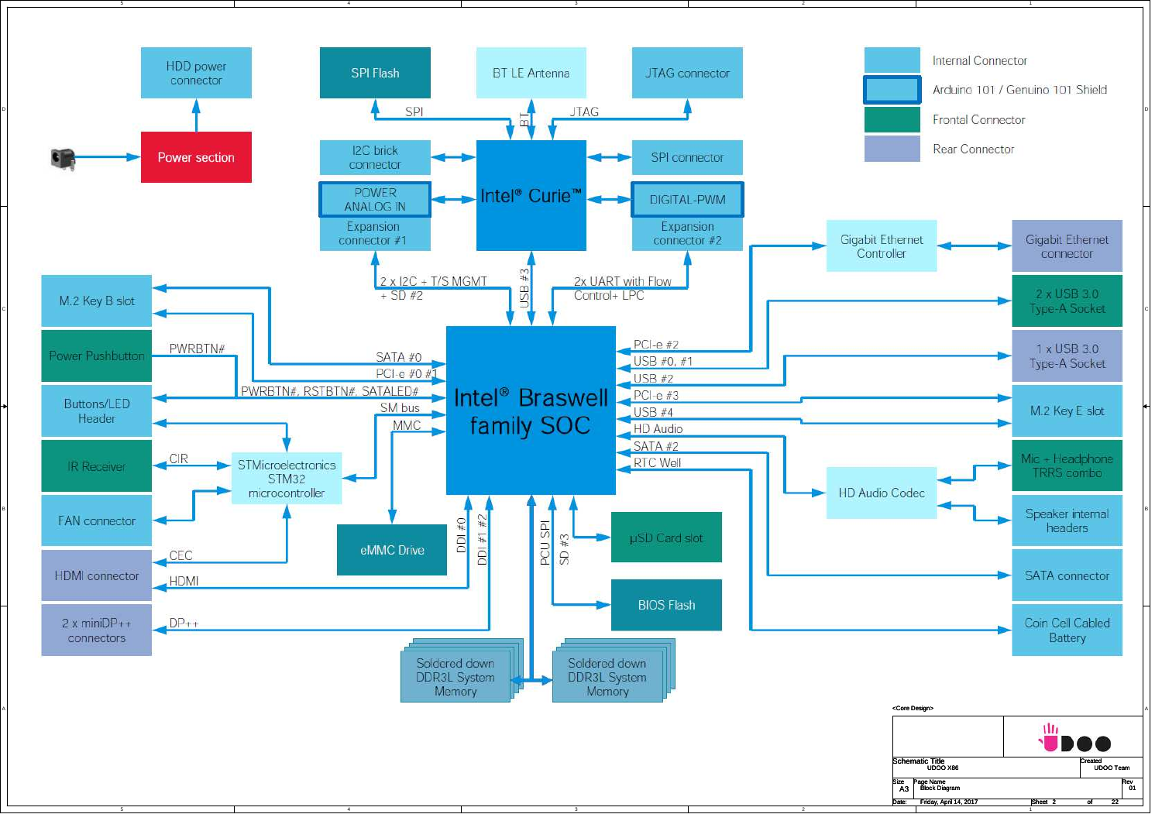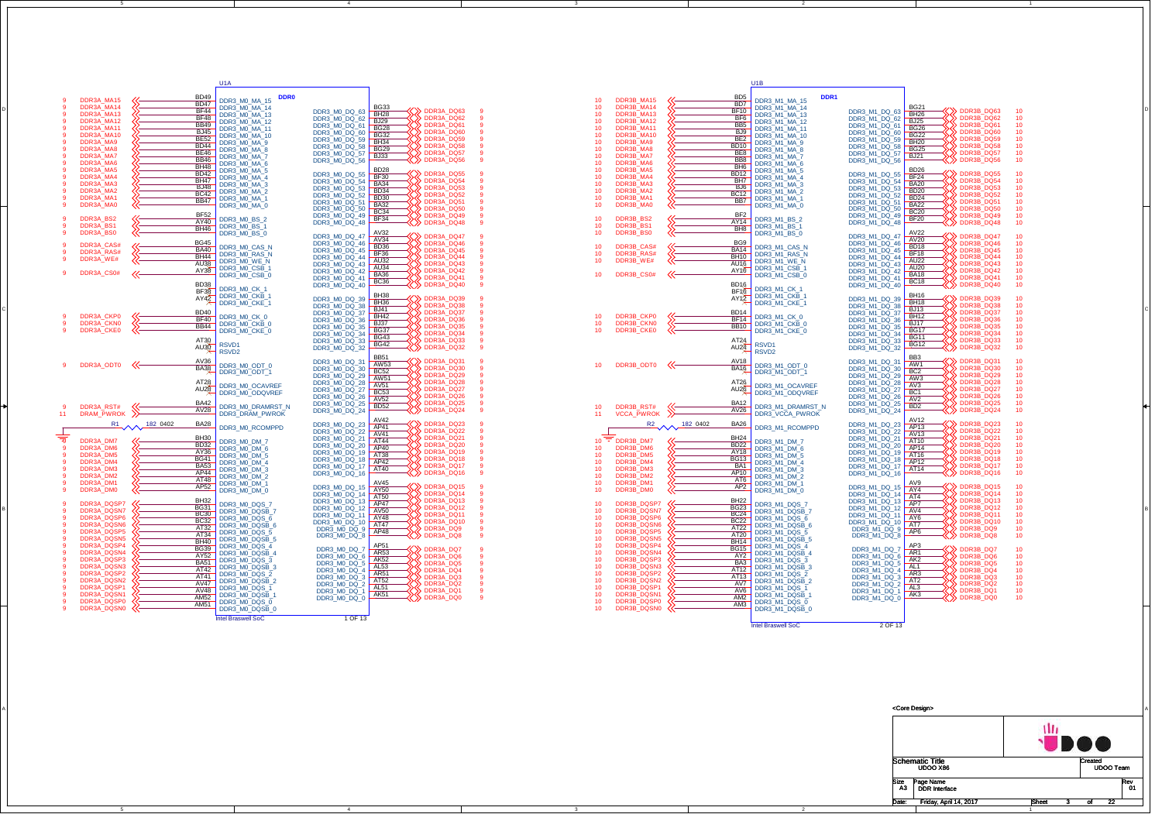|                                  |                                   |                            | U <sub>1</sub> A                |                                |                            |                          |                     |                 |                                          |
|----------------------------------|-----------------------------------|----------------------------|---------------------------------|--------------------------------|----------------------------|--------------------------|---------------------|-----------------|------------------------------------------|
| 9                                | DDR3A_MA15                        | <b>BD49</b>                | <b>DDR0</b>                     |                                |                            |                          |                     | 10              | DDR3B_MA15                               |
| $\overline{9}$                   | DDR3A MA14                        | <b>BD47</b>                | DDR3 M0 MA 15                   |                                | <b>BG33</b>                |                          |                     | 10              | DDR3B MA14                               |
| 9                                | DDR3A MA13                        | <b>BF44</b>                | DDR3 M0 MA 14<br>DDR3_M0_MA_13  | DDR3 M0 DQ 63                  | <b>BH28</b>                | DDR3A DQ63               | 9                   | 10              | DDR3B_MA13                               |
| $\overline{9}$                   | DDR3A_MA12                        | <b>BF48</b>                | DDR3 M0 MA 12                   | DDR3_M0_DQ_62                  | <b>BJ29</b>                | DDR3A DQ62               | 9                   | 10              | DDR3B MA12                               |
| $\overline{9}$                   | DDR3A_MA11                        | <b>BB49</b>                | DDR3 M0 MA 11                   | DDR3 M0 DQ 61                  | <b>BG28</b>                | DDR3A DQ61               | 9                   | 10              | DDR3B_MA11                               |
| $\overline{9}$                   | DDR3A_MA10                        | <b>BJ45</b>                | DDR3 M0 MA 10                   | DDR3 M0 DQ 60                  | <b>BG32</b>                | DDR3A DQ60               | 9                   | 10              | DDR3B_MA10                               |
| $\overline{9}$                   | DDR3A MA9                         | <b>BE52</b>                | DDR3 M0 MA 9                    | DDR3 M0 DQ 59                  | <b>BH34</b>                | DDR3A DQ59               | 9                   | 10 <sup>1</sup> | DDR3B_MA9                                |
| 9                                | DDR3A MA8                         | <b>BD44</b>                | DDR3_M0_MA_8                    | DDR3_M0_DQ_58                  | <b>BG29</b>                | DDR3A DQ58               | 9                   | 10              | DDR3B_MA8                                |
| $\overline{9}$                   | DDR3A MA7                         | <b>BE46</b>                | DDR3 M0 MA 7                    | DDR3_M0_DQ_57                  | <b>BJ33</b>                | DDR3A DQ57               | 9                   | 10              | DDR3B_MA7                                |
| 9                                | DDR3A MA6                         | <b>BB46</b><br><b>BH48</b> | DDR3 M0 MA 6                    | DDR3 M0 DQ 56                  |                            | DDR3A DQ56               | 9                   | 10              | DDR3B MA6                                |
| $\overline{9}$                   | DDR3A MA5                         | <b>BD42</b>                | DDR3 M0 MA 5                    |                                | <b>BD28</b>                |                          | 9                   | 10              | <b>DDR3B MA5</b>                         |
| 9                                | DDR3A MA4                         | <b>BH47</b>                | DDR3 M0 MA 4                    | DDR3 M0 DQ 55                  | <b>BF30</b>                | DDR3A DQ55               |                     | 10              | DDR3B MA4                                |
| 9                                | DDR3A MA3                         | <b>BJ48</b>                | DDR3_M0_MA_3                    | DDR3 M0 DQ 54                  | <b>BA34</b>                | DDR3A DQ54<br>DDR3A DQ53 | 9<br>9              | 10              | DDR3B MA3                                |
| 9                                | DDR3A MA2                         | <b>BC42</b>                | DDR3_M0_MA_2                    | DDR3_M0_DQ_53                  | <b>BD34</b>                | DDR3A DQ52               | 9                   | 10              | DDR3B_MA2                                |
| 9                                | DDR3A MA1                         | <b>BB47</b>                | DDR3 M0 MA 1                    | DDR3_M0_DQ_52<br>DDR3 M0 DQ 51 | <b>BD30</b>                | DDR3A DQ51               | 9                   | 10 <sup>1</sup> | DDR3B_MA1                                |
| $\overline{9}$                   | DDR3A MA0                         |                            | DDR3 M0 MA 0                    | DDR3 M0 DQ 50                  | <b>BA32</b>                | DDR3A DQ50               | 9                   | 10              | DDR3B MA0                                |
|                                  |                                   | <b>BF52</b>                |                                 | DDR3_M0_DQ_49                  | <b>BC34</b>                | DDR3A DQ49               | 9                   |                 |                                          |
| $\overline{9}$                   | DDR3A BS2                         | AY40                       | DDR3_M0_BS_2                    | DDR3_M0_DQ_48                  | <b>BF34</b>                | DDR3A DQ48               | 9                   | 10              | DDR3B BS2                                |
| $\overline{9}$                   | DDR3A BS1                         | <b>BH46</b>                | DDR3_M0_BS_1                    |                                |                            |                          |                     | 10 <sup>1</sup> | DDR3B_BS1                                |
| 9                                | DDR3A BS0                         |                            | DDR3 M0 BS 0                    | DDR3 M0 DQ 47                  | AV32                       | DDR3A DQ47               | 9                   | $10^{-1}$       | DDR3B BS0                                |
| 9                                | DDR3A_CAS#                        | <b>BG45</b>                |                                 | DDR3 M0 DQ 46                  | AV34                       | DDR3A DQ46               | 9                   |                 |                                          |
| 9                                | DDR3A_RAS#                        | <b>BA40</b>                | DDR3 M0 CAS N                   | DDR3 M0 DQ 45                  | <b>BD36</b>                | DDR3A DQ45               | 9                   | 10              | <b>DDR3B_CAS#</b>                        |
| $\overline{9}$                   | DDR3A WE#                         | <b>BH44</b>                | DDR3_M0_RAS_N                   | DDR3_M0_DQ_44                  | <b>BF36</b><br>AU32        | DDR3A DQ44               | 9                   | 10<br>10        | <b>DDR3B RAS#</b><br>DDR3B_WE#           |
|                                  |                                   | <b>AU38</b>                | DDR3_M0_WE_N                    | DDR3_M0_DQ_43                  | AU34                       | DDR3A DQ43               | 9                   |                 |                                          |
| 9                                | DDR3A_CS0#                        | AY38                       | DDR3 M0 CSB 1<br>DDR3 M0 CSB 0  | DDR3_M0_DQ_42                  | <b>BA36</b>                | DDR3A DQ42               | 9                   | 10              | DDR3B_CS0#                               |
|                                  |                                   |                            |                                 | DDR3 M0 DQ 41                  | <b>BC36</b>                | DDR3A DQ41               | 9                   |                 |                                          |
|                                  |                                   | BD <sub>38</sub>           | DDR3_M0_CK_1                    | DDR3 M0 DQ 40                  |                            | DDR3A_DQ40               | $\overline{9}$      |                 |                                          |
|                                  |                                   | BF38                       | DDR3_M0_CKB_1                   |                                | <b>BH38</b>                |                          |                     |                 |                                          |
|                                  |                                   | AY42                       | DDR3 M0 CKE 1                   | DDR3_M0_DQ_39                  | BH <sub>36</sub>           | DDR3A DQ39               | 9                   |                 |                                          |
|                                  |                                   |                            |                                 | DDR3_M0_DQ_38                  | <b>BJ41</b>                | DDR3A DQ38               | 9                   |                 |                                          |
| 9                                | <b>DDR3A_CKP0</b>                 | <b>BD40</b>                | DDR3 M0 CK 0                    | DDR3 M0 DQ 37                  | <b>BH42</b>                | DDR3A DQ37               | 9                   | 10              | <b>DDR3B_CKP0</b>                        |
| $\overline{9}$                   | <b>DDR3A CKN0</b>                 | <b>BF40</b>                | DDR3 M0 CKB 0                   | DDR3 M0 DQ 36                  | <b>BJ37</b>                | DDR3A DQ36               | 9                   | 10              | <b>DDR3B_CKN0</b>                        |
| 9                                | <b>DDR3A_CKE0</b>                 | <b>BB44</b>                | DDR3_M0_CKE_0                   | DDR3_M0_DQ_35                  | <b>BG37</b>                | DDR3A DQ35<br>DDR3A DQ34 | $\overline{9}$<br>9 | 10              | <b>DDR3B_CKE0</b>                        |
|                                  |                                   | AT30                       |                                 | DDR3_M0_DQ_34                  | BG43                       | DDR3A DQ33               | 9                   |                 |                                          |
|                                  |                                   | AU30                       | RSVD <sub>1</sub>               | DDR3_M0_DQ_33                  | <b>BG42</b>                | DDR3A DQ32               | 9                   |                 |                                          |
|                                  |                                   |                            | RSVD <sub>2</sub>               | DDR3 M0 DQ 32                  |                            |                          |                     |                 |                                          |
|                                  |                                   | AV36                       |                                 | DDR3_M0_DQ_31                  | <b>BB51</b>                | DDR3A_DQ31               | $\overline{9}$      |                 |                                          |
| $\overline{9}$                   | DDR3A ODT0                        | <b>BA38</b>                | DDR3_M0_ODT_0                   | DDR3_M0_DQ_30                  | <b>AW53</b>                | DDR3A DQ30               | $\overline{9}$      | 10              | <b>DDR3B_ODT0</b>                        |
|                                  |                                   |                            | DDR3_M0_ODT_1                   | DDR3_M0_DQ_29                  | <b>BC52</b>                | DDR3A DQ29               | 9                   |                 |                                          |
|                                  |                                   | AT28                       |                                 | DDR3_M0_DQ_28                  | AW <sub>51</sub>           | DDR3A DQ28               | 9                   |                 |                                          |
|                                  |                                   | AU28                       | <b>DDR3 M0 OCAVREF</b>          | DDR3 M0 DQ 27                  | <b>AV51</b><br><b>BC53</b> | DDR3A DQ27               | 9                   |                 |                                          |
|                                  |                                   |                            | DDR3 M0 ODQVREF                 | DDR3 M0 DQ 26                  | <b>AV52</b>                | DDR3A DQ26               | $\overline{9}$      |                 |                                          |
| $\mathbf{Q}$                     | <b>DDR3A RST#</b>                 | <b>BA42</b>                | DDR3 M0 DRAMRST N               | DDR3_M0_DQ_25                  | <b>BD52</b>                | DDR3A DQ25               | $\overline{9}$      | 10              | <b>DDR3B RST#</b>                        |
| 11                               | <b>DRAM PWROK</b>                 | AV28                       | <b>DDR3 DRAM PWROK</b>          | DDR3_M0_DQ_24                  |                            | DDR3A DQ24               | 9                   | 11              | <b>VCCA_PWROK</b>                        |
|                                  |                                   |                            |                                 |                                | AV42                       |                          |                     |                 |                                          |
|                                  | R <sub>1</sub>                    | 182 0402<br><b>BA28</b>    | DDR3 M0 RCOMPPD                 | DDR3 M0 DQ 23                  | <b>AP41</b>                | DDR3A_DQ23               | 9                   |                 | R <sub>2</sub>                           |
|                                  |                                   |                            |                                 | DDR3 M0 DQ 22                  | <b>AV41</b>                | DDR3A_DQ22               | $\overline{9}$      |                 |                                          |
| ॱॸ                               | DDR3A_DM7                         | <b>BH30</b>                | DDR3_M0_DM_7                    | DDR3_M0_DQ_21                  | AT44                       | DDR3A_DQ21               | $\overline{9}$      | 10              | DDR3B DM7                                |
| 9                                | DDR3A DM6                         | <b>BD32</b>                | DDR3 M0 DM 6                    | DDR3_M0_DQ_20                  | <b>AP40</b>                | DDR3A DQ20               | $\overline{9}$<br>9 | 10              | DDR3B_DM6                                |
| 9                                | <b>DDR3A DM5</b>                  | AY36<br><b>BG41</b>        | DDR3 M0 DM 5                    | DDR3_M0_DQ_19                  | AT38                       | DDR3A DQ19<br>DDR3A_DQ18 | 9                   | 10              | <b>DDR3B DM5</b>                         |
| 9                                | DDR3A_DM4                         | <b>BA53</b>                | DDR3 M0 DM 4                    | DDR3_M0_DQ_18<br>DDR3 M0 DQ 17 | AP42                       | DDR3A_DQ17               | 9                   | 10              | DDR3B_DM4                                |
| $\overline{9}$                   | DDR3A_DM3                         | AP44                       | DDR3 M0 DM 3                    | DDR3_M0_DQ_16                  | <b>AT40</b>                | DDR3A DQ16               | 9                   | 10              | DDR3B_DM3                                |
| 9                                | DDR3A DM2                         | AT48                       | DDR3_M0_DM_2                    |                                |                            |                          |                     | 10              | DDR3B DM2                                |
| 9                                | DDR3A_DM1                         | AP52                       | DDR3 M0 DM 1                    | DDR3_M0_DQ_15                  | AV45                       | DDR3A DQ15               | 9                   | 10              | DDR3B_DM1                                |
| 9                                | DDR3A DM0                         |                            | DDR3 M0 DM 0                    | DDR3 M0 DQ 14                  | AY50                       | DDR3A DQ14               | 9                   | 10              | DDR3B_DM0                                |
|                                  |                                   | <b>BH32</b>                |                                 | DDR3_M0_DQ_13                  | AT50<br>AP47               | DDR3A_DQ13               | $\overline{9}$      |                 |                                          |
| $\overline{9}$<br>$\overline{9}$ | DDR3A_DQSP7<br><b>DDR3A DQSN7</b> | <b>BG31</b>                | DDR3_M0_DQS_7                   | DDR3_M0_DQ_12                  | <b>AV50</b>                | DDR3A_DQ12               | $\overline{9}$      | 10<br>10        | <b>DDR3B DQSP7</b><br><b>DDR3B DQSN7</b> |
|                                  |                                   | <b>BC30</b>                | DDR3_M0_DQSB_7                  | DDR3_M0_DQ_11                  | AY48                       | DDR3A DQ11               | $\overline{9}$      |                 |                                          |
| 9<br>9                           | <b>DDR3A DQSP6</b><br>DDR3A DQSN6 | <b>BC32</b>                | DDR3_M0_DQS_6<br>DDR3 M0 DQSB 6 | DDR3_M0_DQ_10                  | <b>AT47</b>                | DDR3A DQ10               | 9                   | 10<br>10        | <b>DDR3B DQSP6</b><br><b>DDR3B DQSN6</b> |
| 9                                | <b>DDR3A DQSP5</b>                | AT32                       | DDR3 M0 DQS 5                   | DDR3 M0 DQ 9                   | AP48                       | DDR3A DQ9                | 9                   | 10              | <b>DDR3B DQSP5</b>                       |
| $\overline{9}$                   | DDR3A_DQSN5                       | AT34                       | DDR3_M0_DQSB_5                  | DDR3 M0 DQ 8                   |                            | DDR3A_DQ8                | 9                   | $10^{-1}$       | <b>DDR3B_DQSN5</b>                       |
| $\overline{9}$                   | DDR3A DQSP4                       | <b>BH40</b>                | DDR3 M0 DQS 4                   |                                | AP51                       |                          |                     | 10              | <b>DDR3B DQSP4</b>                       |
| 9                                | <b>DDR3A DQSN4</b>                | <b>BG39</b>                | DDR3_M0_DQSB_4                  | DDR3_M0_DQ_7                   | AR <sub>53</sub>           | DDR3A DQ7                | 9                   | 10              | <b>DDR3B DQSN4</b>                       |
| 9                                | DDR3A DQSP3                       | AY52                       | DDR3 M0 DQS 3                   | DDR3_M0_DQ_6                   | <b>AK52</b>                | DDR3A DQ6                | 9                   | 10              | <b>DDR3B DQSP3</b>                       |
| 9                                | <b>DDR3A DQSN3</b>                | <b>BA51</b>                | DDR3 M0 DQSB 3                  | DDR3 M0 DQ 5                   | <b>AL53</b>                | DDR3A DQ5                | 9                   | 10              | <b>DDR3B_DQSN3</b>                       |
| $\overline{9}$                   | DDR3A_DQSP2                       | AT42                       | DDR3_M0_DQS_2                   | DDR3 M0 DQ 4                   | AR51                       | DDR3A_DQ4                | 9                   | 10              | DDR3B_DQSP2                              |
| $\mathbf{Q}$                     | DDR3A_DQSN2                       | AT41<br>AV47               | DDR3 M0 DQSB 2                  | DDR3_M0_DQ_3                   | AT52                       | DDR3A_DQ3                | 9<br>9              | 10              | <b>DDR3B DQSN2</b>                       |
| ٩                                | DDR3A DQSP1                       | AV48                       | DDR3_M0_DQS_1                   | DDR3 M0 DQ 2                   | AL <sub>51</sub>           | DDR3A DQ2<br>DDR3A DQ1   | 9                   | 10              | <b>DDR3B DQSP1</b>                       |
| 9                                | <b>DDR3A DQSN1</b>                | <b>AM52</b>                | DDR3 M0 DQSB 1                  | DDR3_M0_DQ_1                   | <b>AK51</b>                | DDR3A DQ0                | 9                   | 10              | <b>DDR3B DQSN1</b>                       |
| 9                                | DDR3A DQSP0                       | AM51                       | DDR3 M0 DQS 0                   | DDR3 M0 DQ 0                   |                            |                          |                     | 10              | <b>DDR3B DQSP(</b>                       |
| 9                                | DDR3A_DQSN0                       |                            | DDR3 M0 DQSB 0                  |                                |                            |                          |                     | 10              | DDR3B_DQSN0                              |
|                                  |                                   |                            | <b>Intel Braswell SoC</b>       | 1 OF 13                        |                            |                          |                     |                 |                                          |
|                                  |                                   |                            |                                 |                                |                            |                          |                     |                 |                                          |

5

A

| U <sub>1</sub> A                                                                            |                                                                                                                                                                                                                                                                                                                                                                                                                                                                                   | U1B                                                                                                               |                                                                                                                                                                                                                                                                                                                                                                                                                    |
|---------------------------------------------------------------------------------------------|-----------------------------------------------------------------------------------------------------------------------------------------------------------------------------------------------------------------------------------------------------------------------------------------------------------------------------------------------------------------------------------------------------------------------------------------------------------------------------------|-------------------------------------------------------------------------------------------------------------------|--------------------------------------------------------------------------------------------------------------------------------------------------------------------------------------------------------------------------------------------------------------------------------------------------------------------------------------------------------------------------------------------------------------------|
| <b>BD49</b><br>DDR3_M0_MA_15 DDR0<br>DDR3A MA15                                             |                                                                                                                                                                                                                                                                                                                                                                                                                                                                                   | B <sub>D5</sub><br>DDR3B MA15<br>DDR3 M1 MA 15<br>10 <sup>1</sup>                                                 |                                                                                                                                                                                                                                                                                                                                                                                                                    |
| <b>BD47</b><br>DDR3A MA14<br>DDR3 M0 MA 14<br>RF44                                          | - 9                                                                                                                                                                                                                                                                                                                                                                                                                                                                               | B <sub>D7</sub><br>DDR3B MA14<br>10 <sup>1</sup><br>DDR3 M1 MA 14<br>RF10                                         | BG21<br>DDR3_M1_DQ_63 BH26                                                                                                                                                                                                                                                                                                                                                                                         |
| DDR3A MA13<br><b>BF48</b> DDR3_M0_MA_13<br>DDR3A MA12                                       |                                                                                                                                                                                                                                                                                                                                                                                                                                                                                   | DDR3B_MA13<br>10 <sup>1</sup><br>$\frac{1}{2}$ DDR3 M1 MA 13<br>BF <sub>6</sub><br>DDR3B_MA12<br>10 <sup>10</sup> | <b>Example 1990 DORES DORES</b><br><b>Example 2008 DORES DORES</b><br>SUBDIRES DORES DORES<br>SUBDIRES DORES DORES DORES DORES DORES DORES DORES DORES DORES DORES DORES DORES<br>DDR3_M1_DQ_62   BJ25<br>10                                                                                                                                                                                                       |
| BB49 DDR3_M0_MA_12<br>DDR3A MA11<br>BJ45   DDR3_M0_MA_11                                    | <b>O</b>                                                                                                                                                                                                                                                                                                                                                                                                                                                                          | BB5 DDR3_M1_MA_12<br>DDR3B MA11<br>BJ9 DDR3_M1_MA_11<br>10                                                        | 10<br>DDR3_M1_DQ_61<br>DDR3_M1_DQ_60<br>DDR3_M1_DQ_60 BG22                                                                                                                                                                                                                                                                                                                                                         |
| DDR3A MA10<br>BE52 DDR3_MO_MA_10                                                            |                                                                                                                                                                                                                                                                                                                                                                                                                                                                                   | DDR3B_MA10<br>10 <sup>1</sup><br>BE2 DDR3_M1_MA_10                                                                | 10<br>DDR3_M1_DQ_59 BH20<br>10                                                                                                                                                                                                                                                                                                                                                                                     |
| DDR3A MA9<br>DDR3 M0 MA 9<br><b>BD44</b><br>DDR3A MA8                                       |                                                                                                                                                                                                                                                                                                                                                                                                                                                                                   | DDR3B MA9<br>BD10 DDR3_M1_MA_9<br>10<br>DDR3B_MA8<br>10                                                           | DDR3_M1_DQ_58<br>DDR3_M1_DQ_58<br>DDR3_M1_DQ_57<br>DDR3_M1_DQ_57<br>CDR3_M1_DQ_57<br>10                                                                                                                                                                                                                                                                                                                            |
| DDR3 M0 MA 8<br><b>BE46</b><br>DDR3A_MA7<br>DDR3 M0 MA 7                                    | - 9                                                                                                                                                                                                                                                                                                                                                                                                                                                                               | DDR3 M1 MA 8<br>BE8<br>DDR3B_MA7<br>DDR3 M1 MA 7<br>10<br>BB <sub>8</sub>                                         | 10                                                                                                                                                                                                                                                                                                                                                                                                                 |
| <b>BB46</b><br>DDR3A MA6<br>DDR3_M0_MA_6<br>RH48                                            |                                                                                                                                                                                                                                                                                                                                                                                                                                                                                   | DDR3B MA6<br>10<br>DDR3_M1_MA_6<br><b>RH<sub>6</sub></b>                                                          | DDR3 M1 DQ 56<br>10                                                                                                                                                                                                                                                                                                                                                                                                |
| DDR3A MA5<br>DDR3 M0 MA 5<br><b>BD42</b><br>DDR3A MA4<br>$H$ DDR3 M0 MA 4                   | <b>BD28</b>                                                                                                                                                                                                                                                                                                                                                                                                                                                                       | <b>DDR3B MA5</b><br>10 <sub>10</sub><br>BD12 DDR3_M1_MA_5<br>DDR3B_MA4<br>10<br>DDR3 M1 MA 4                      | <b>BD26</b><br>DDR3_M1_DQ_55 BF24<br>10                                                                                                                                                                                                                                                                                                                                                                            |
| <b>BH47</b><br>DDR3A MA3<br>BJ48 DDR3_M0_MA_3                                               |                                                                                                                                                                                                                                                                                                                                                                                                                                                                                   | BH7<br>DDR3B_MA3<br>10 <sup>10</sup><br>BJ6 DDR3_M1_MA_3                                                          | 10                                                                                                                                                                                                                                                                                                                                                                                                                 |
| DDR3A MA2<br>BC42 DDR3_M0_MA_2                                                              |                                                                                                                                                                                                                                                                                                                                                                                                                                                                                   | DDR3B_MA2<br>10<br>BC12 DDR3_M1_MA_2                                                                              | 10<br>10                                                                                                                                                                                                                                                                                                                                                                                                           |
| DDR3A MA1<br>DDR3 M0 MA 1<br><b>BB47</b><br>DDR3A MA0<br>DDR3_M0_MA_0                       |                                                                                                                                                                                                                                                                                                                                                                                                                                                                                   | DDR3B_MA1<br>10<br>BB7 DDR3_M1_MA_1<br>DDR3B_MA0<br>DDR3 M1 MA 0<br>10                                            | 10                                                                                                                                                                                                                                                                                                                                                                                                                 |
| <b>BF52</b>                                                                                 | $\begin{tabular}{ c c c c c c c c c } \hline \text{DDR3} & \text{MO\_D0\_55} & \text{BD28} & \text{DDRA\_D055} \\ \hline \text{DDR3} & \text{MO\_D0\_54} & \text{BRA34} & \text{DDRA\_D054} \\ \text{DDR3} & \text{MO\_D0\_52} & \text{BD34} & \text{DDRA\_D053} \\ \text{DDR3} & \text{MO\_D0\_52} & \text{BD30} & \text{NDRA\_D054} \\ \text{DDR3} & \text{MO\_D0\_51} & \text{BAG2}$                                                                                           |                                                                                                                   | $\begin{tabular}{ c c c c c c c } \hline \text{DDR3} & M1\_D0\_55 & \text{BP24} & $\bigotimes$ \text{DDR3 B\_DGS} \\ \hline \text{DDR3} & M1\_D0\_54 & \text{BRA20} & $\bigotimes$ \text{DDR3 B\_DGS} \\ \text{DDR3} & M1\_D0\_53 & \text{BDR20} & $\bigotimes$ \text{DDR3 B\_DGS} \\ \text{DDR3} & M1\_D0\_51 & \text{BDA22} & $\bigotimes$ \text{DDR3 B\_DGS} \\ \text{DDR3} & M1\_D0\_51 & \text{B$<br>10<br>10 |
| DDR3A BS2<br>DDR3 M0 BS 2<br>AY40                                                           |                                                                                                                                                                                                                                                                                                                                                                                                                                                                                   | <b>DDR3B BS2</b><br>$\frac{\text{DT2}}{\text{AY14}}$ DDR3_M1_BS_2<br>10                                           | 10                                                                                                                                                                                                                                                                                                                                                                                                                 |
| DDR3A_BS1<br>DDR3_M0_BS_1<br><b>BH46</b><br><b>DDR3A BS0</b><br>DDR3_M0_BS_0                |                                                                                                                                                                                                                                                                                                                                                                                                                                                                                   | DDR3B_BS1<br>10<br>DDR3_M1_BS_1<br>BH <sub>8</sub><br>10<br><b>DDR3B BS0</b><br>DDR3 M1 BS 0                      | AV22                                                                                                                                                                                                                                                                                                                                                                                                               |
| <b>BG45</b>                                                                                 | DDR3_M0_DQ_47<br>DDR3_M0_DQ_46<br>DDR3_M0_DQ_46 BD36                                                                                                                                                                                                                                                                                                                                                                                                                              | BG9                                                                                                               | DDR3_M1_DQ_47 <u>AV20</u><br>10<br>10                                                                                                                                                                                                                                                                                                                                                                              |
| DDR3A CAS#<br>DDR3 M0 CAS N<br><b>BA40</b><br><b>DDR3A RAS#</b>                             |                                                                                                                                                                                                                                                                                                                                                                                                                                                                                   | DDR3B_CAS#<br>10<br>BA14 DDR3_M1_CAS_N<br><b>DDR3B_RAS#</b><br>10                                                 | 10                                                                                                                                                                                                                                                                                                                                                                                                                 |
| BH44 DDR3_MO_RAS_N<br>DDR3A_WE#<br>AU38 DDR3_MO_WE_N                                        |                                                                                                                                                                                                                                                                                                                                                                                                                                                                                   | BH10 DDR3_M1_RAS_N<br>DDR3B_WE#<br>10<br>AU16 DDR3_M1_WE_N                                                        | 10                                                                                                                                                                                                                                                                                                                                                                                                                 |
| DDR3 M0 CSB 1<br>AY38                                                                       | $\begin{tabular}{ c c c c c c c c c } \hline \text{DDR3} & \text{MO\_02-47} & \text{AV32} & $\bigcirc$ & \text{DDR3} $\Lambda$ & \text{O47} \\ \hline \text{DDR3} & \text{MO\_02-46} & \text{BDS6} & $\bigcirc$ & \text{DDR3} $\Lambda$ & \text{O46} \\ \text{DDR3} & \text{MO\_02-45} & \text{BDS6} & $\bigcirc$ & \text{DDR3} $\Lambda$ & \text{O44} \\ \text{DDR3} & \text{MO\_02-44} & \text{BUS2} & $\bigcirc$                                                               | DDR3 M1 CSB 1<br>AY16                                                                                             | $\begin{tabular}{ c c c c c c c c } \hline DDR3\_M\_DQ_47 & $\frac{{\rm AV22}}{\rm A720}$ & $\gg$ DDR3B\_D47DDR3\_M\_DQ_46 & $\frac{{\rm BDI6}}{\rm ADT6}$ & $\gg$ DDR3B\_D46DDR3\_M\_DQ_445 & $\frac{{\rm BDI6}}{\rm BPI6}$ & $\gg$ DDR3B\_D44DDR3\_M\_DQ_44 & $\frac{{\rm AU22}}{\rm A120}$ & $\gg$ DDR3B\_D443DDR3\_M\_DQ_42 & $\frac{{\rm A120}}{\rm B13$<br>10<br>10                                          |
| DDR3A_CS0#<br>-9<br>DDR3 M0 CSB 0                                                           |                                                                                                                                                                                                                                                                                                                                                                                                                                                                                   | 10 <sup>1</sup><br>DDR3B_CS0#<br>DDR3 M1 CSB 0                                                                    | 10                                                                                                                                                                                                                                                                                                                                                                                                                 |
| BD38 DDR3_MO_CK_1                                                                           |                                                                                                                                                                                                                                                                                                                                                                                                                                                                                   | BD <sub>16</sub><br>BF16 DDR3_M1_CK_1                                                                             | 10                                                                                                                                                                                                                                                                                                                                                                                                                 |
| AY42 DDR3_MO_CKB_1                                                                          | BH38                                                                                                                                                                                                                                                                                                                                                                                                                                                                              | AY THE DDR3_M1_CKB_1                                                                                              | DDR3_M1_DQ_39   BH18<br>10                                                                                                                                                                                                                                                                                                                                                                                         |
| DDR3_M0_CKE_1                                                                               | DDR3_M0_DQ_39<br>DDR3_M0_DQ_38 BH36<br>DDR3_M0_DQ_38 BJ41                                                                                                                                                                                                                                                                                                                                                                                                                         |                                                                                                                   | 10                                                                                                                                                                                                                                                                                                                                                                                                                 |
| RD40<br>DDR3A_CKP0<br>DDR3 MO CK 0<br><b>BF40</b>                                           | DDR3_M0_DQ_37 BH42<br>DDR3_M0_DQ_36 337                                                                                                                                                                                                                                                                                                                                                                                                                                           | <b>BD14</b><br>10 DDR3B_CKP0 X<br>BF14 DDR3_M1_CK_0                                                               | 10<br>10                                                                                                                                                                                                                                                                                                                                                                                                           |
| <b>DDR3A CKN0</b><br>DDR3_M0_CKB_0<br><b>BB44</b><br>DDR3A_CKE0<br>DDR3_M0_CKE_0            | DDR3_M0_DQ_35 BG37                                                                                                                                                                                                                                                                                                                                                                                                                                                                | BB10 DDR3_M1_CKB_0<br>10 DDR3B_CKE0<br>DDR3 M1 CKE 0                                                              | 10                                                                                                                                                                                                                                                                                                                                                                                                                 |
|                                                                                             | DDR3_M0_DQ_34 BG43                                                                                                                                                                                                                                                                                                                                                                                                                                                                |                                                                                                                   | 10<br>10                                                                                                                                                                                                                                                                                                                                                                                                           |
| AT30<br><b>RSVD1</b><br>AU30                                                                | <b>AN DORSA DOSS</b><br>INDISSA DOSS<br>INDISSA DOSS<br>INDISSA DOSS<br>INDISSA DOSS<br>INDISSA DOSS<br>INDISSA DOSS<br>INDISSA DOSS<br>INDISSA DOSS<br>INDISSA DOSS<br>INDISSA DOSS<br>INDISSA DOSS<br>DDR3_M0_DQ_33 BG42<br>DDR3 M0 DQ 32                                                                                                                                                                                                                                       | AT24 RSVD1<br>AU24 RSVD1                                                                                          | 10                                                                                                                                                                                                                                                                                                                                                                                                                 |
| RSVD <sub>2</sub>                                                                           |                                                                                                                                                                                                                                                                                                                                                                                                                                                                                   |                                                                                                                   |                                                                                                                                                                                                                                                                                                                                                                                                                    |
| DDR3A_ODT0 <<<br>BA38 DDR3_M0_ODT_0                                                         | DDR3_M0_DQ_31 BB51<br>DDR3_M0_DQ_31 AW53<br>DDR3_M0_DQ_30 BC52<br>$\begin{tabular}{ c c c c c c } \hline \text{DPR3\_MO\_DQ\_31} & \text{RB51} & \text{MS53} & \text{DDPR3\_DO31} \\ \hline \text{DDR3\_MO\_DQ\_30} & \text{RB52} & \text{NDDR3\_DO20} \\ \text{DDR3\_MO\_DQ\_28} & \text{AN51} & \text{NDDR3\_DO28} \\ \text{DDR3\_MO\_DQ\_28} & \text{AN51} & \text{NDDR3\_DO28} \\ \text{DDR3\_MO\_DQ\_27} & \text{ROS3} & \text{DDPR3\_DO27} \\ \text{DDR3$<br>$\overline{9}$ | AV18<br>10 DDR3B_ODT0 <<<br>$\overline{1}$ DDR3 M1 ODT 0                                                          | N DDR3B_DQ31<br>DDR3B_DQ39<br>DDR3B_DQ28<br>DDR3B_DQ28<br>DDR3B_DQ26<br>DDR3B_DQ25<br>DDR3B_DQ25<br>DDR3B_DQ25<br>DDR3B_DQ24<br>DDR3_M1_DQ_31 AW1<br>10<br>DDR3_M1_DQ_30 RV<br>10                                                                                                                                                                                                                                  |
| <b>X</b> DDR3 M0 ODT 1                                                                      |                                                                                                                                                                                                                                                                                                                                                                                                                                                                                   | BA16 DDR3_M1_ODT_1                                                                                                | DDR3_M1_DQ_29 7W3<br>- 10                                                                                                                                                                                                                                                                                                                                                                                          |
| DDR3 M0 OCAVREF<br><b>AU28</b>                                                              |                                                                                                                                                                                                                                                                                                                                                                                                                                                                                   | AT26<br>DDR3_M1_OCAVREF                                                                                           | DDR3_M1_DQ_28 AV3<br>10<br>10                                                                                                                                                                                                                                                                                                                                                                                      |
| DDR3 M0 ODQVREF                                                                             |                                                                                                                                                                                                                                                                                                                                                                                                                                                                                   | AU <sub>26</sub><br>DDR3 M1 ODQVREF                                                                               | DDR3_M1_DQ_27 BC1<br>DDR3_M1_DQ_26 AV2<br>10                                                                                                                                                                                                                                                                                                                                                                       |
| <b>BA42</b><br>DDR3 M0 DRAMRST N                                                            | -9                                                                                                                                                                                                                                                                                                                                                                                                                                                                                | BA12 DDR3_M1_DRAMRST_N<br>AV26 DDR3_M1_DRAMRST_N                                                                  | DDR3_M1_DQ_25 BD2<br>10                                                                                                                                                                                                                                                                                                                                                                                            |
| DDR3A_RST#<br>DRAM_PWROK<br>AV28<br>DDR3 DRAM PWROK<br>11                                   |                                                                                                                                                                                                                                                                                                                                                                                                                                                                                   | 10 DDR3B_RST# VCCA_PWROK<br><b>DDR3 VCCA PWROK</b>                                                                | 10<br>DDR3 M1 DQ 24                                                                                                                                                                                                                                                                                                                                                                                                |
| R1 182 0402<br><b>BA28</b><br>DDR3_M0_RCOMPPD                                               | DDR3_M0_DQ_23<br>DDR3_M0_DQ_22<br>DDR3_M0_DQ_22 AV41                                                                                                                                                                                                                                                                                                                                                                                                                              | R <sub>2</sub> 182 0402<br>BA26 DDR3_M1_RCOMPPD                                                                   | AV12<br>10                                                                                                                                                                                                                                                                                                                                                                                                         |
| <b>BH30</b>                                                                                 | NESSERIA DOMANDO DE SAN DOMANDO DE SAN DOMANDO DE SAN DOMANDO DE SAN DOMANDO DE SAN DOMANDO DE SAN DOMANDO DE SAN DOMANDO DE SAN DOMANDO DE SAN DOMANDO DE SAN DOMANDO DE SAN DOMANDO DE SAN DOMANDO DE SAN DOMANDO DE SAN D<br>-9                                                                                                                                                                                                                                                | RH <sub>24</sub>                                                                                                  | $\begin{tabular}{ c c c c c c c } \hline \text{DDR3} & M1\_DQ\_23 & \text{A/12} & \text{X)} & \text{DDR3B\_O} & \text{DDR3M:D} & \text{DDR3B\_O} & \text{A/13} & \text{X)} & \text{DDR3B\_O} & \text{DDR3B\_O} & \text{A/13} & \text{X)} & \text{DDR3B\_O} & \text{A/13} & \text{X} & \text{DDR3B\_O} & \text{A/13} & \text{X} & \text{DDR3B\_O} & \text{DOR3M:D} & \text{D$<br>10<br>10                           |
| DDR3A_DM7<br>DDR3 M0 DM 7<br><b>BD32</b>                                                    | DDR3_M0_DQ_21 AT44<br>DDR3_M0_DQ_20 AP40                                                                                                                                                                                                                                                                                                                                                                                                                                          | $10 \overline{5}$ DDR3B_DM7<br>$\frac{\text{ln 164}}{\text{BD22}}$ DDR3_M1_DM_7                                   | 10                                                                                                                                                                                                                                                                                                                                                                                                                 |
| DDR3A DM6<br>DDR3 M0 DM 6<br>AY36<br>DDR3A DM5<br>BG41 DDR3_M0_DM_5                         | DDR3_M0_DQ_19 <u>AF38</u>                                                                                                                                                                                                                                                                                                                                                                                                                                                         | DDR3B_DM6<br>$10-10$<br>AY18 DDR3_M1_DM_6<br>DDR3B_DM5<br>10 <sub>1</sub><br><b>BG13</b> DDR3_M1_DM_5             | 10                                                                                                                                                                                                                                                                                                                                                                                                                 |
| DDR3A_DM4<br>BA53 DDR3_MO_DM_4                                                              | DDR3_M0_DQ_18 AP42<br>-9<br>DDR3_M0_DQ_17 AT40                                                                                                                                                                                                                                                                                                                                                                                                                                    | DDR3B_DM4<br>10<br>BA1 DDR3_M1_DM_4                                                                               | 10<br>10                                                                                                                                                                                                                                                                                                                                                                                                           |
| DDR3A DM3<br>AP44 DDR3_M0_DM_3<br>DDR3A DM2                                                 | DDR3 M0 DQ 16 $\vdash$                                                                                                                                                                                                                                                                                                                                                                                                                                                            | DDR3B_DM3<br>10<br>AP10 DDR3_M1_DM_3<br>DDR3B_DM2<br>10                                                           |                                                                                                                                                                                                                                                                                                                                                                                                                    |
| AT48 DDR3_M0_DM_2<br>DDR3A_DM1<br>AP52 DDR3_MO_DM_1                                         |                                                                                                                                                                                                                                                                                                                                                                                                                                                                                   | AT6 DDR3_M1_DM_2<br>10<br>DDR3B_DM1                                                                               | AV9<br>10                                                                                                                                                                                                                                                                                                                                                                                                          |
| DDR3A DM0<br>DDR3 MO DM 0                                                                   | DDR3_M0_DQ_15<br>DDR3_M0_DQ_14<br>DDR3_M0_DQ_14 AT50<br>$\begin{tabular}{ c c c c c c } \hline \text{DDR3, MO DA 15} & \text{AVB} & \text{AVB} & \text{DDR3A, DO15} \\ \hline \text{DDR3, MO DA 14} & \text{AVB} & \text{AODRA, DO14} \\ \text{DDR3, MO DA 13} & \text{APB} & \text{AODRA, DO13} \\ \text{DDR3, MO DA 12} & \text{APB} & \text{AODRA, DO14} \\ \text{DDR3, MO DO 11} & \text{AVB} & \text{AODRA, DO11} \\ \text{DDR3, MO DO 10} & \text{AVB} &$                   | $\frac{A10}{AP2}$ DDR3_M1_DM_1<br>DDR3B_DM0<br>10                                                                 | N DDR3B_DQ15<br>DDR3B_DQ14<br>DDR3B_DQ13<br>DDR3B_DQ12<br>DDR3B_DQ10<br>NDR3B_DQ10<br>DDR3B_DQ9<br>DDR3B_DQ9<br>DDR3B_DQ9<br>DDR3B_DQ9<br>DDR3_M1_DQ_15 AY4<br>DDR3_M1_DQ_14 <b>AT4</b><br>10                                                                                                                                                                                                                      |
| <b>BH32</b><br>DDR3A_DQSP7<br>BG31 DDR3_M0_DQS_7                                            |                                                                                                                                                                                                                                                                                                                                                                                                                                                                                   | <b>BH22</b><br>DDR3B_DQSP7<br>$\frac{6166}{\text{BG23}}$ DDR3_M1_DQS_7<br>10                                      | DDR3_M1_DQ_13 AP7<br>- 10                                                                                                                                                                                                                                                                                                                                                                                          |
| <b>DDR3A DQSN7</b><br>DDR3_M0_DQSB_7<br><b>BC30</b>                                         |                                                                                                                                                                                                                                                                                                                                                                                                                                                                                   | <b>DDR3B DQSN7</b><br>10<br>DDR3_M1_DQSB_7<br>BC24                                                                | DDR3_M1_DQ_12 AV4<br>10<br>10                                                                                                                                                                                                                                                                                                                                                                                      |
| <b>DDR3A DQSP6</b><br>$\sqrt{}$ DDR3 M0 DQS 6<br>BC32                                       |                                                                                                                                                                                                                                                                                                                                                                                                                                                                                   | DDR3B DQSP6<br>$\frac{1004}{BC22}$ DDR3_M1_DQS_6<br>10 <sup>1</sup>                                               | DDR3_M1_DQ_10 XT7<br>10                                                                                                                                                                                                                                                                                                                                                                                            |
| DDR3A_DQSN6<br>AT32 DDR3_M0_DQSB_6<br><b>DDR3A DQSP5</b><br>$\overline{AT34}$ DDR3_M0_DQS_5 |                                                                                                                                                                                                                                                                                                                                                                                                                                                                                   | DDR3B_DQSN6<br>10<br>AT22 DDR3_M1_DQSB_6<br>DDR3B DQSP5<br>AT20 DDR3_M1_DQS_5<br>10                               | DDR3_M1_DQ_9 AP6<br>10                                                                                                                                                                                                                                                                                                                                                                                             |
| <b>DDR3A DQSN5</b><br>BH40 DDR3_M0_DQSB_5                                                   |                                                                                                                                                                                                                                                                                                                                                                                                                                                                                   | DDR3B_DQSN5<br>10<br>BH14 DDR3_M1_DQSB_5                                                                          | 10<br>DDR3 M1 DQ 8                                                                                                                                                                                                                                                                                                                                                                                                 |
| DDR3A DQSP4<br>BG39 DDR3_M0_DQS_4<br><b>DDR3A DQSN4</b><br>AY52 DDR3_M0_DQSB_4              | AP51<br>$\begin{tabular}{ c c c c c } \hline \text{DDR3\_MO\_O\_7}$ & \text{AB51} & \text{DDR3\_DO7} \\ \hline \text{DDR3\_MO\_O\_G}$ & \text{AB23} & \text{DDR3\_DO} \\ \hline \text{DDR3\_MO\_O\_G}$ & \text{AB3} & \text{DDR3\_DO} \\ \hline \text{DDR3\_MO\_O\_G}$ & \text{AB51} & \text{DDR3\_DO3} \\ \hline \text{DDR3\_MO\_O\_G}$ & \text{AB52} & \text{DDR3\_DO3} \\ \hline \text{DDR3\_MO\_O\_G}$ & \text{AB51} &$                                                       | DDR3B_DQSP4<br>10 <sup>1</sup><br>BG15 DDR3_M1_DQS_4<br>DDR3B_DQSN4<br>10<br>AY2 DDR3_M1_DQSB_4                   | AP3<br>DDR3B_DQ7<br>DDR3B_DQ6<br>DDR3B_DQ6<br>DDR3B_DQ4<br>DDR3B_DQ3<br>DDR3B_DQ3<br>DDR3B_DQ1<br>DDR3B_DQ1<br>DDR3B_DQ1<br>DDR3B_DQ21<br>DDR3_M1_DQ_7 AR1<br>10                                                                                                                                                                                                                                                   |
| DDR3A DQSP3<br>BA51 DDR3_M0_DQS_3                                                           |                                                                                                                                                                                                                                                                                                                                                                                                                                                                                   | DDR3B_DQSP3<br>10<br>BA3 DDR3_M1_DQS_3                                                                            | DDR3_M1_DQ_6   AK2<br>10                                                                                                                                                                                                                                                                                                                                                                                           |
| DDR3A_DQSN3<br>AT42 DDR3_M0_DQSB_3                                                          |                                                                                                                                                                                                                                                                                                                                                                                                                                                                                   | DDR3B_DQSN3<br>10 <sup>10</sup><br>AT12 DDR3_M1_DQSB_3                                                            | DDR3_M1_DQ_5   ALT<br>-10<br>DDR3_M1_DQ_4 AR3<br>10                                                                                                                                                                                                                                                                                                                                                                |
| DDR3A_DQSP2<br>DDR3_M0_DQS_2<br>AT41<br><b>DDR3A DQSN2</b><br>AV47 DDR3_M0_DQSB_2           |                                                                                                                                                                                                                                                                                                                                                                                                                                                                                   | DDR3B_DQSP2<br>10<br>DDR3_M1_DQS_2<br>AT <sub>13</sub><br><b>DDR3B DQSN2</b><br>10<br>AV7 DDR3_M1_DQSB_2          | DDR3_M1_DQ_3 AT2<br>10                                                                                                                                                                                                                                                                                                                                                                                             |
| DDR3A_DQSP1<br>AV48 DDR3_M0_DQS_1                                                           |                                                                                                                                                                                                                                                                                                                                                                                                                                                                                   | DDR3B_DQSP1<br>10<br>AV6 DDR3_M1_DQS_1                                                                            | DDR3_M1_DQ_2<br>DDR3_M1_DQ_1 <u>AL3</u><br>10<br>10                                                                                                                                                                                                                                                                                                                                                                |
| DDR3A_DQSN1<br>AM52 DDR3_M0_DQSB_1<br><b>DDR3A DQSP0</b>                                    |                                                                                                                                                                                                                                                                                                                                                                                                                                                                                   | DDR3B_DQSN1<br>10 <sup>10</sup><br>AM2 DDR3_M1_DQSB_1<br>DDR3B_DQSP0<br>10                                        | DDR3 M1 DQ 0                                                                                                                                                                                                                                                                                                                                                                                                       |
| AM51 DDR3_M0_DQS_0<br>DDR3A DQSN0<br>DDR3 M0 DQSB 0                                         |                                                                                                                                                                                                                                                                                                                                                                                                                                                                                   | AM3 DDR3_M1_DQS_0<br>DDR3B DQSN0<br>DDR3 M1 DQSB 0                                                                |                                                                                                                                                                                                                                                                                                                                                                                                                    |
| <b>Intel Braswell SoC</b>                                                                   | 1 OF 13                                                                                                                                                                                                                                                                                                                                                                                                                                                                           |                                                                                                                   |                                                                                                                                                                                                                                                                                                                                                                                                                    |
|                                                                                             |                                                                                                                                                                                                                                                                                                                                                                                                                                                                                   | <b>Intel Braswell SoC</b>                                                                                         | 2 OF 13                                                                                                                                                                                                                                                                                                                                                                                                            |

2

2

3

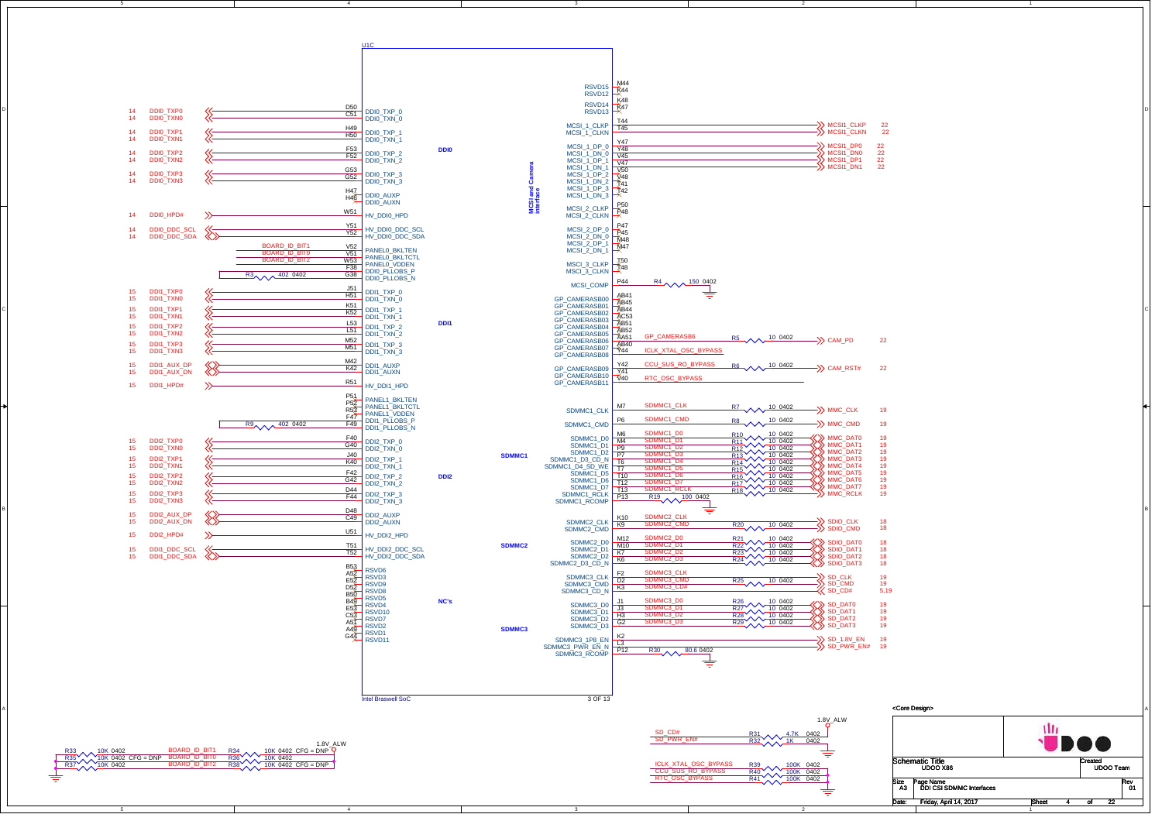

2

2

3

th Created UDOO TeamSize Page Name Rev<br>| A3 | DDI CSI SDMMC Interfaces | A3 | DDI CSI SDMMC Interfaces s 01 Sheet of Friday, April 14, 20177 Sheet 4 of 22

5

B

A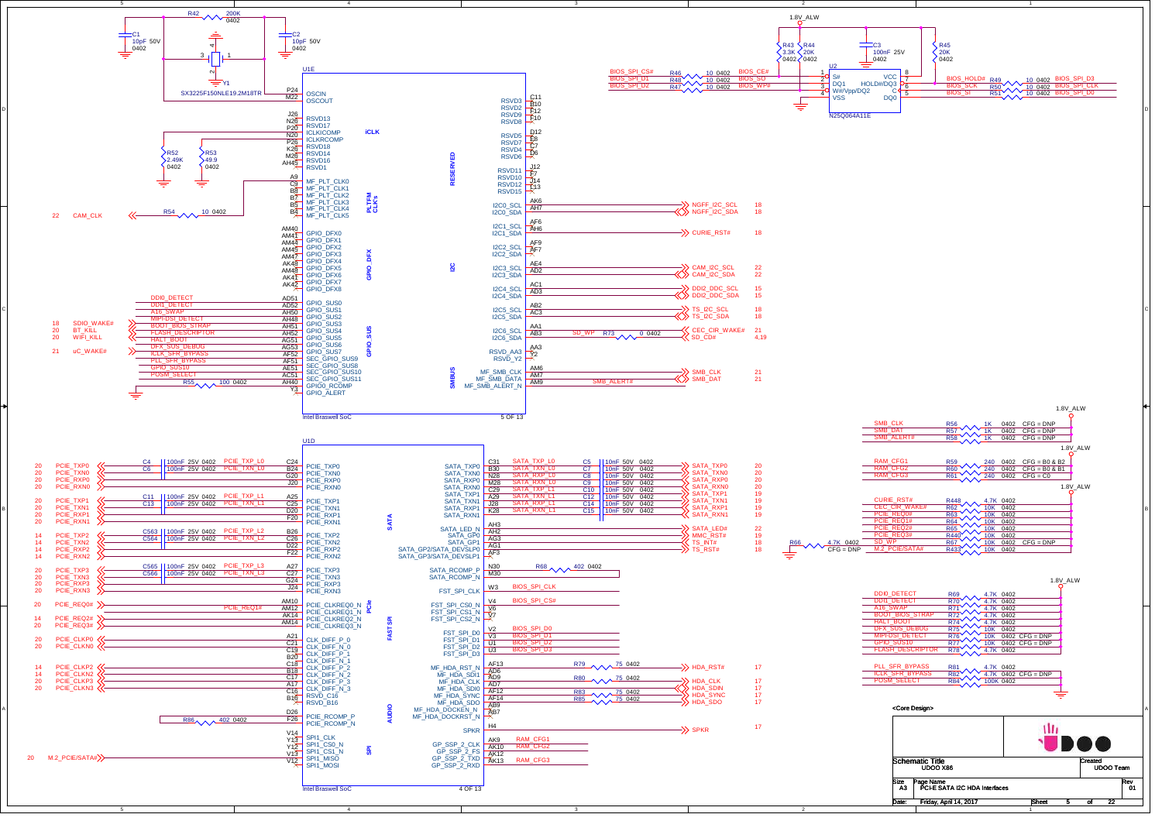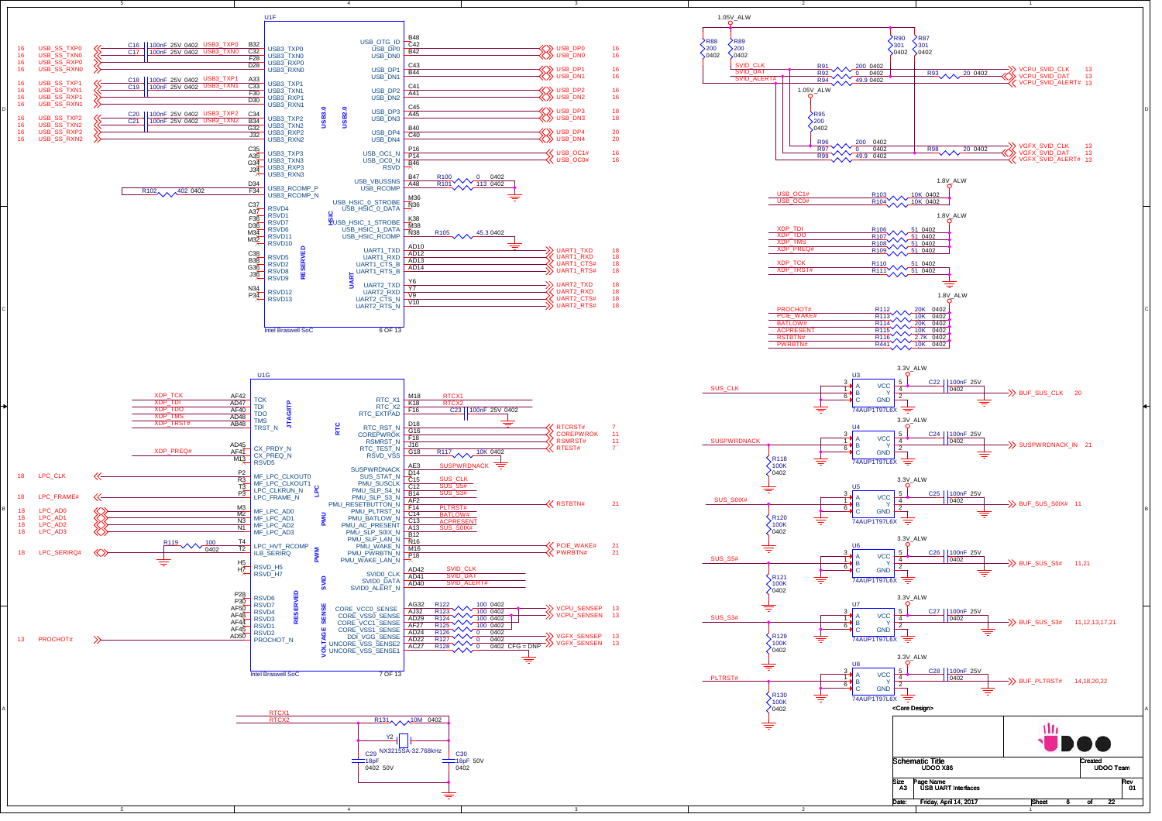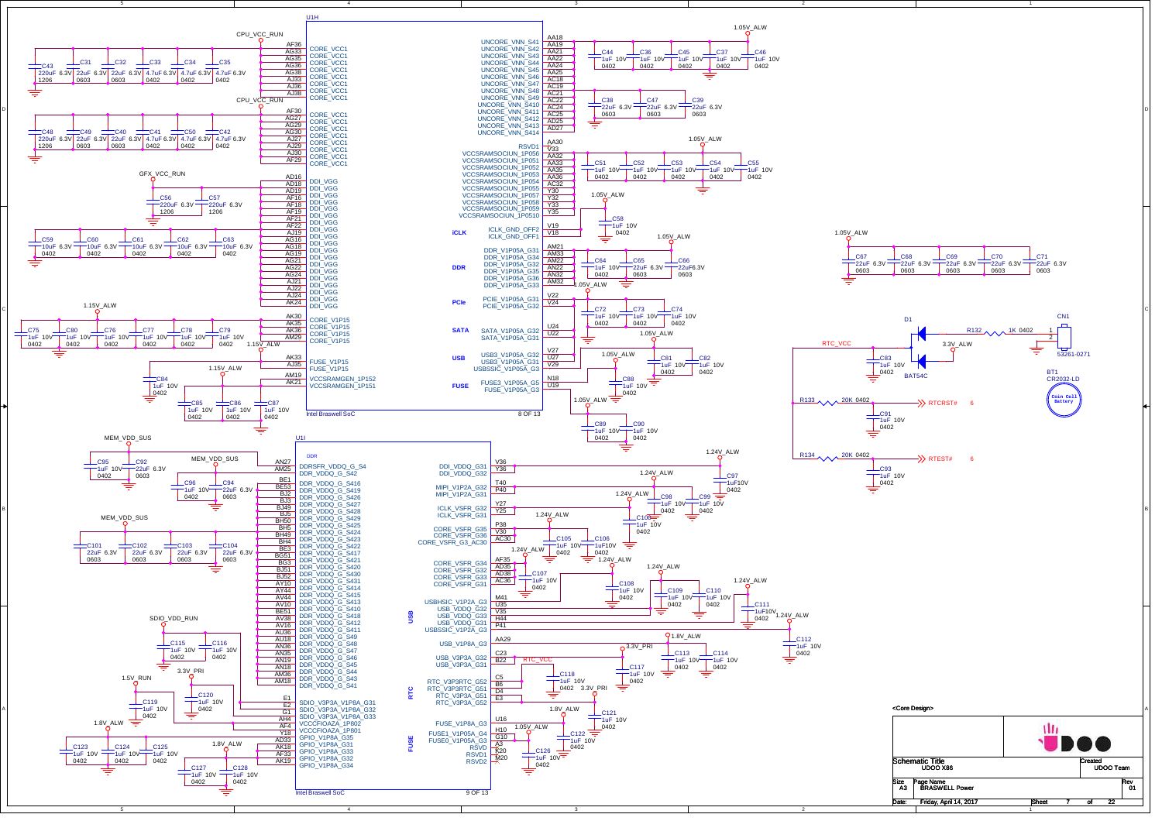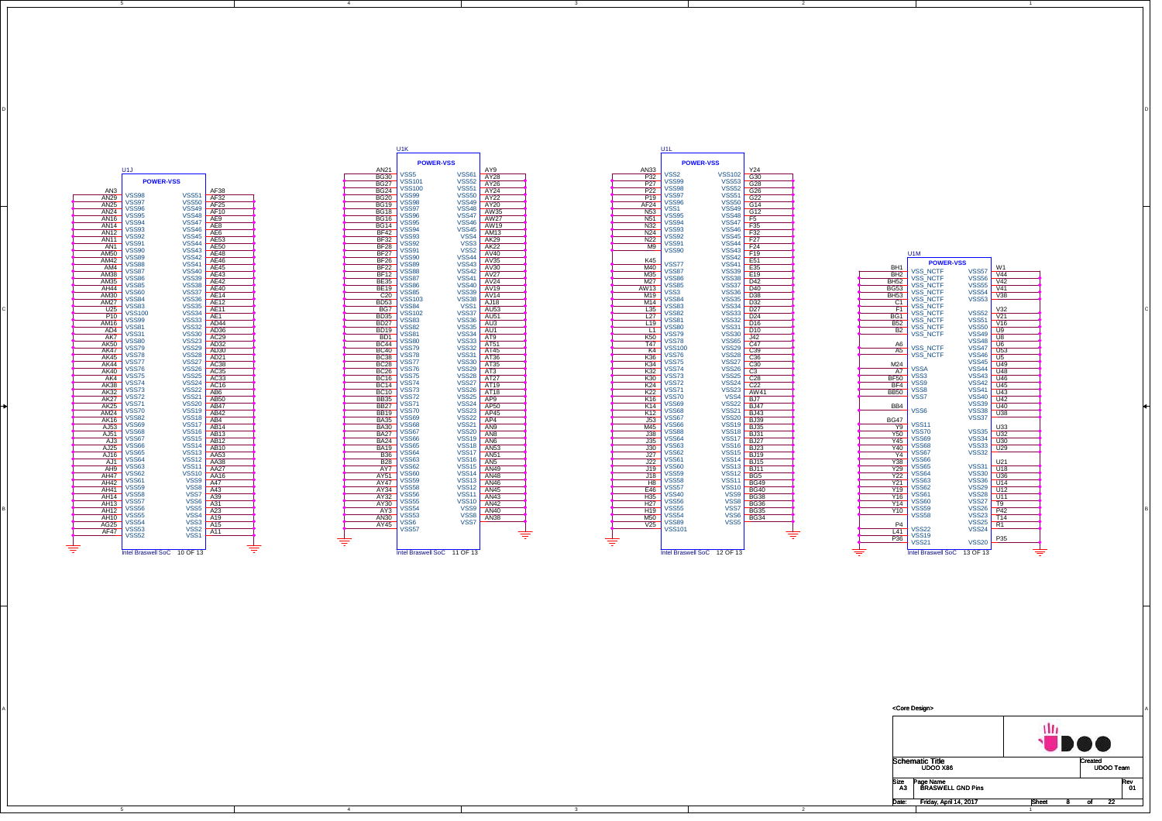

5

B

A





2

2

3

o<sub>l</sub> and the contract of the contract of the contract of the contract of the contract of the contract of the contract of the contract of the contract of the contract of the contract of the contract of the contract of the c



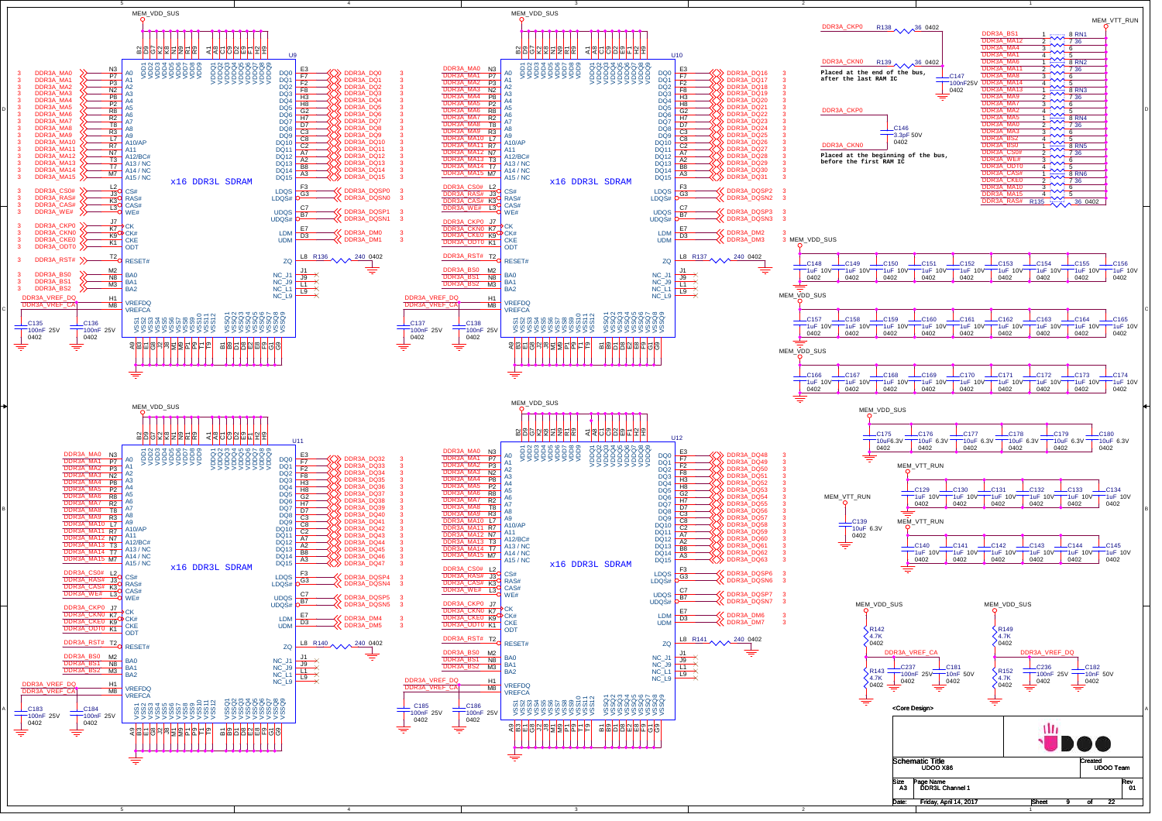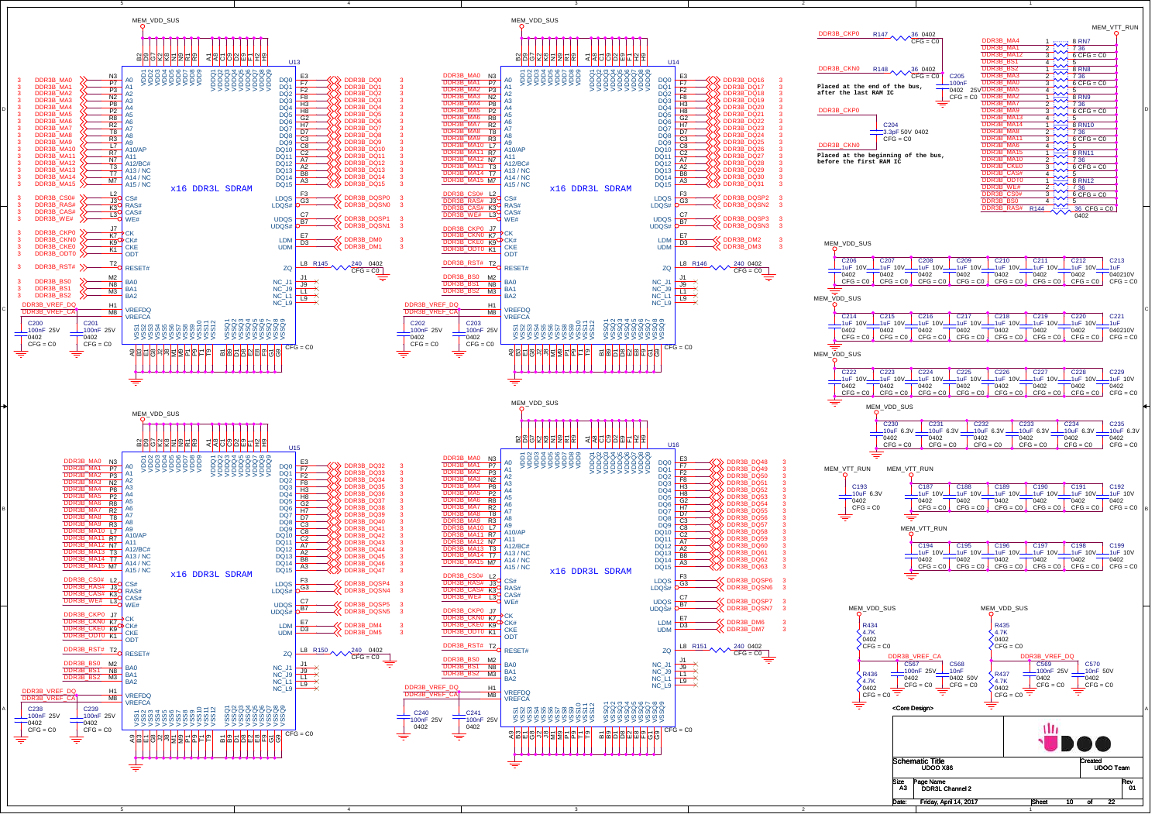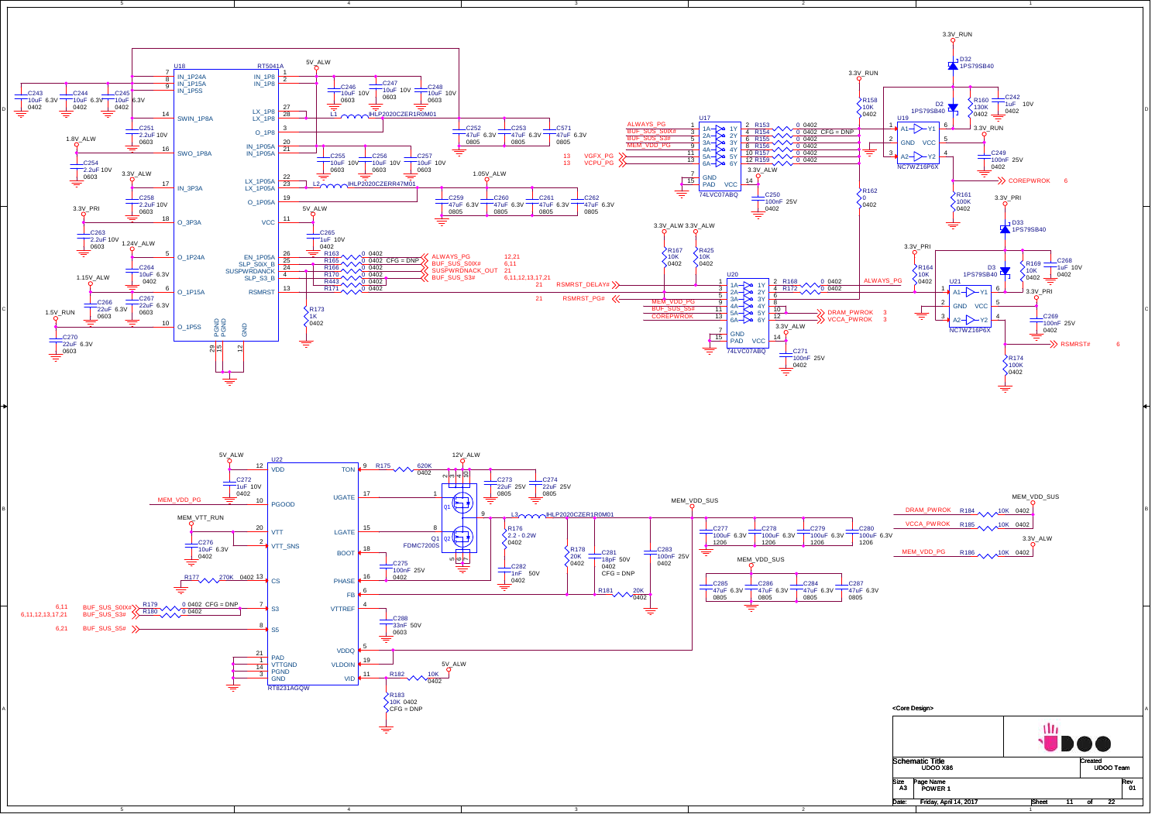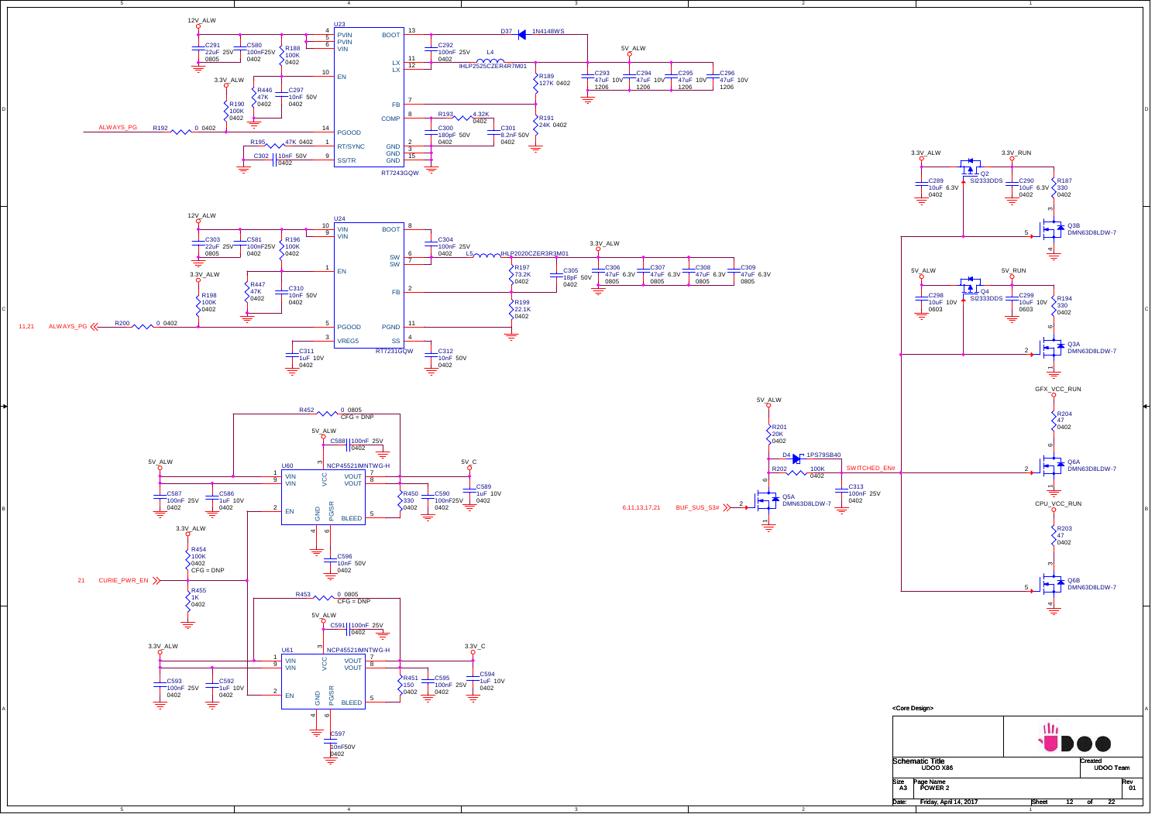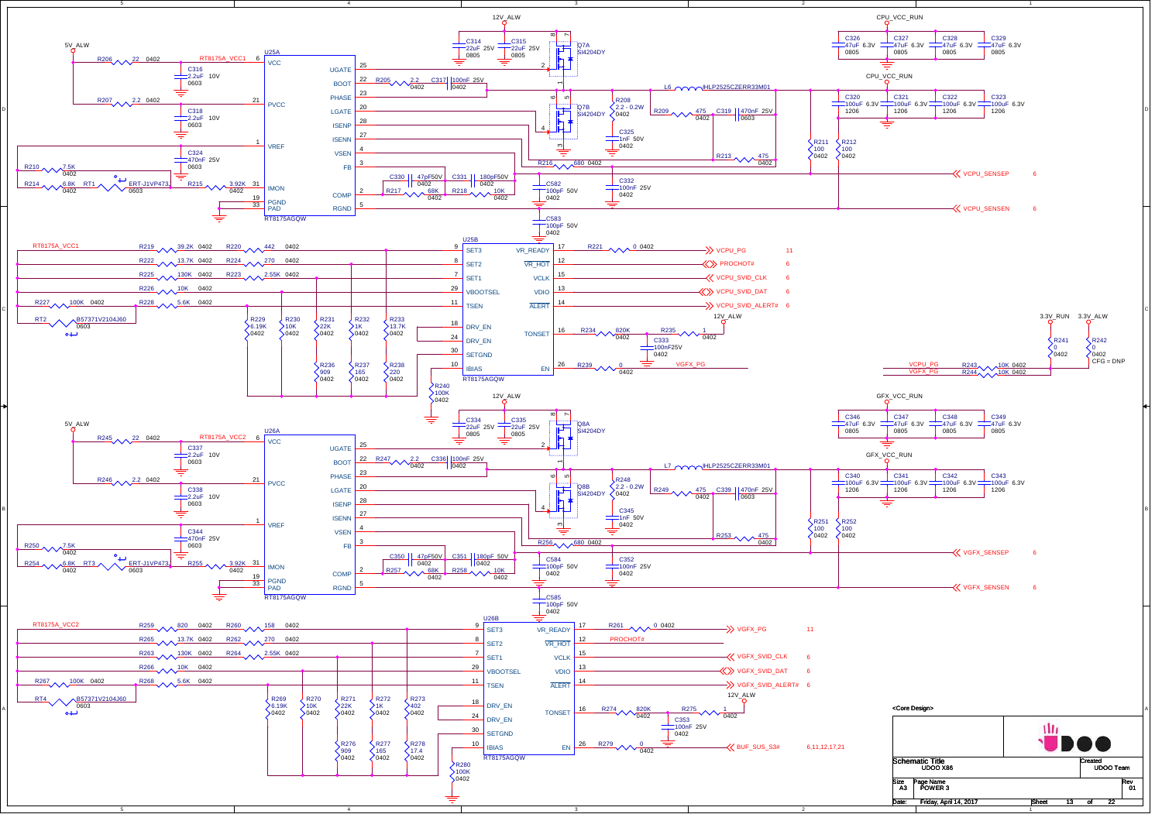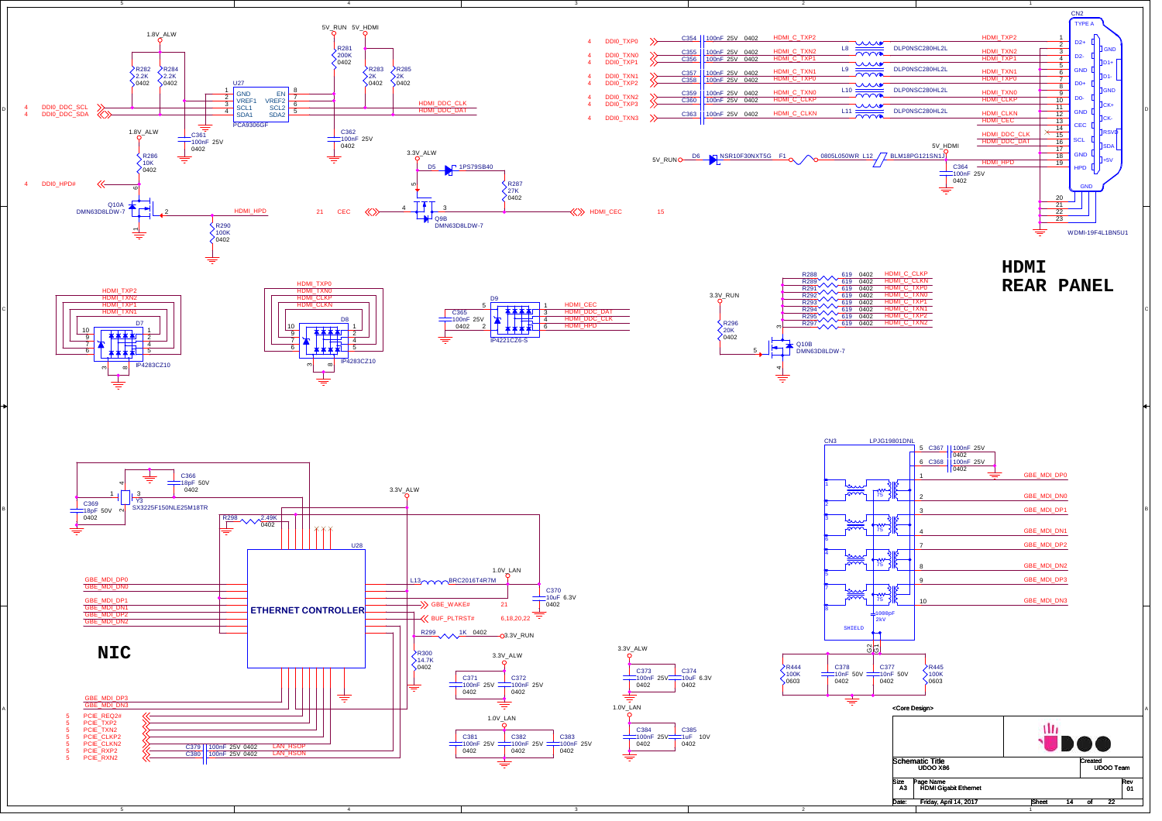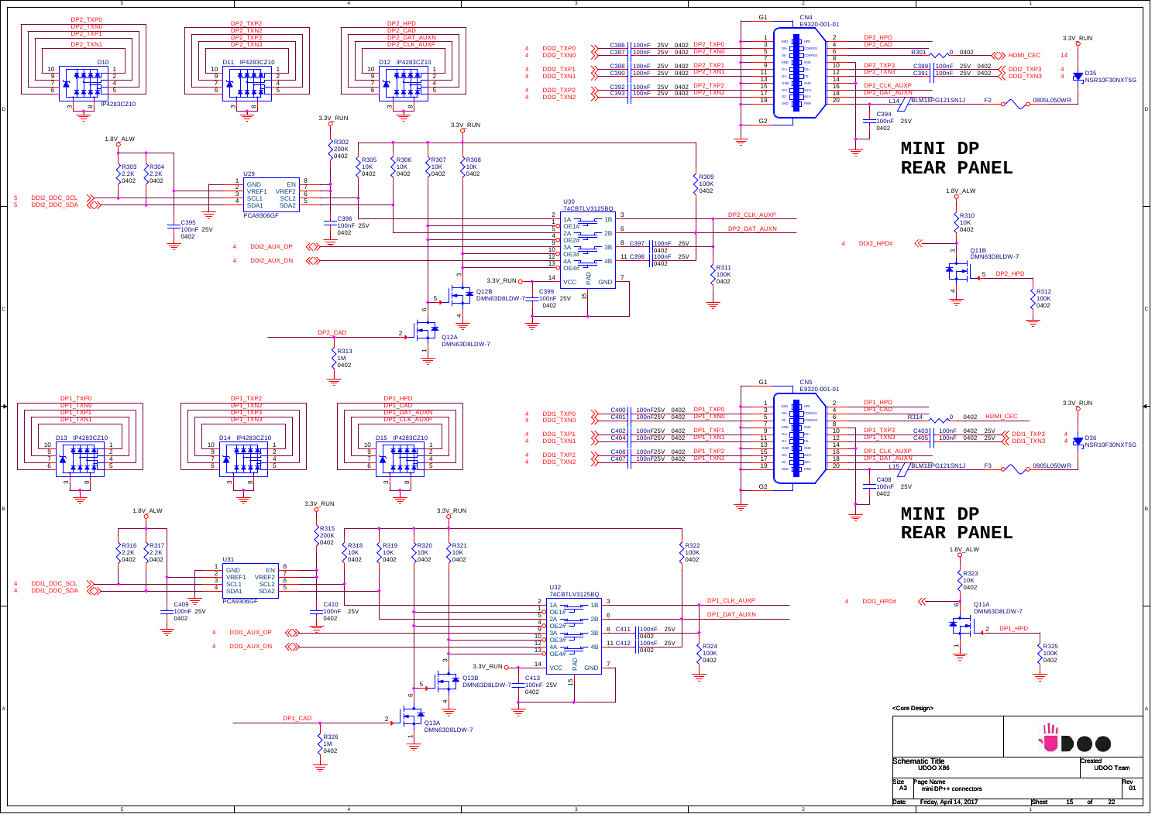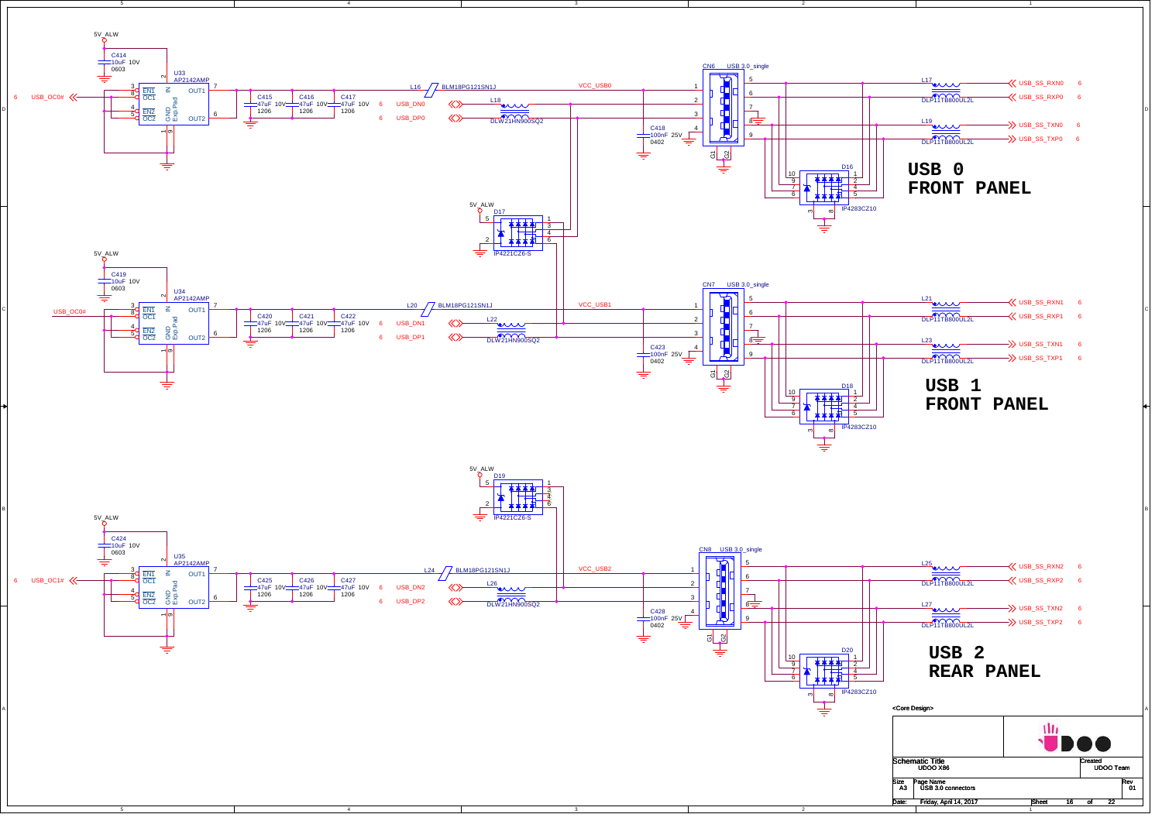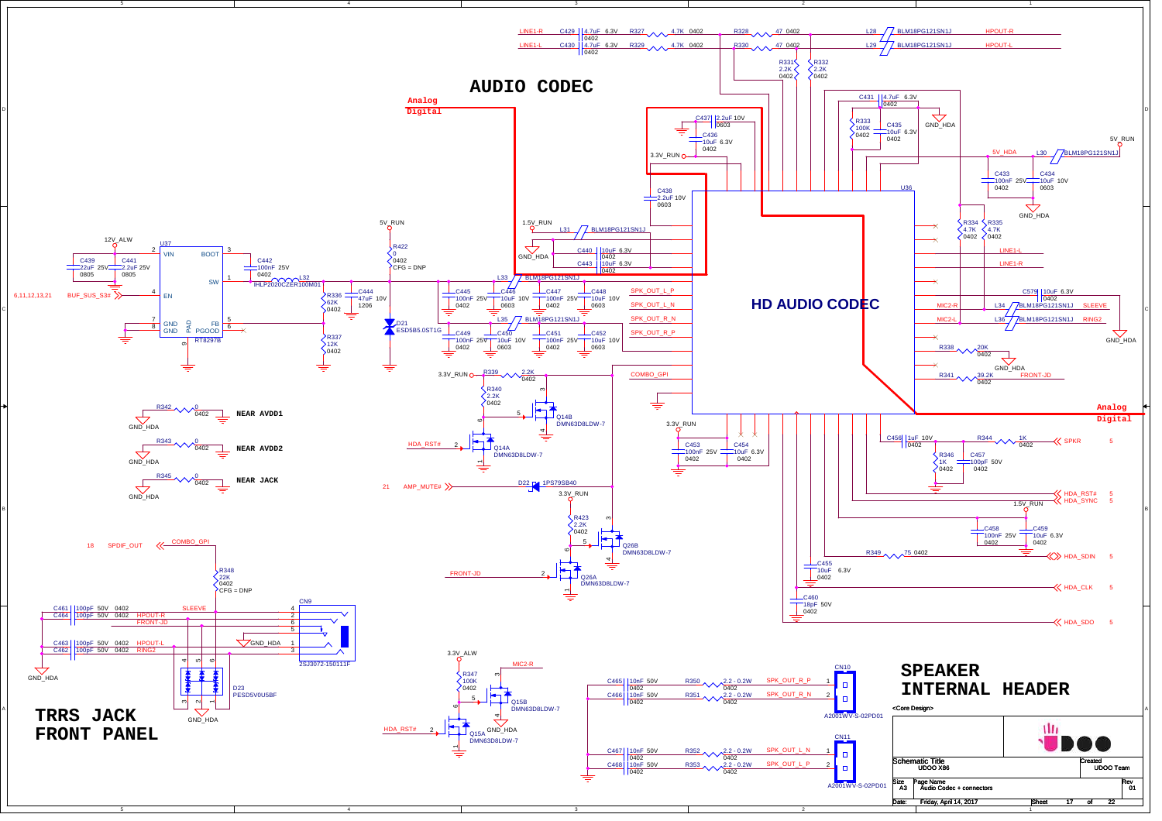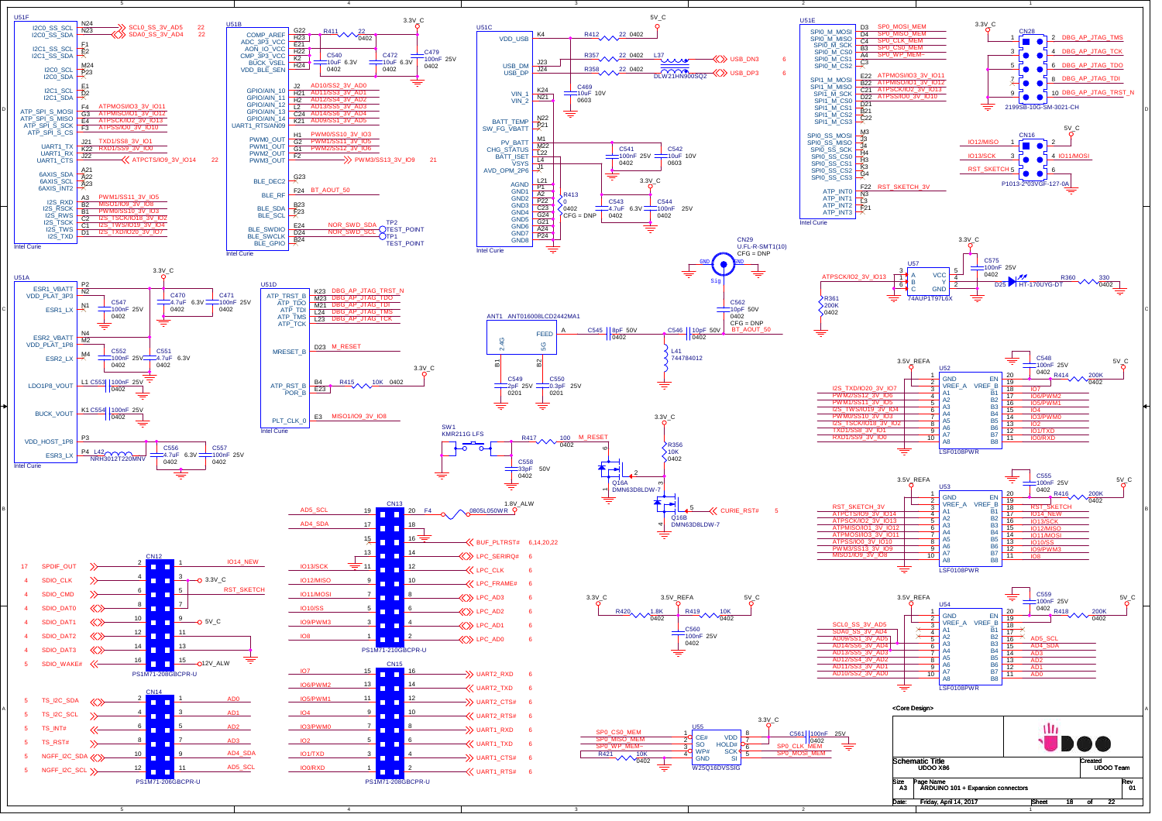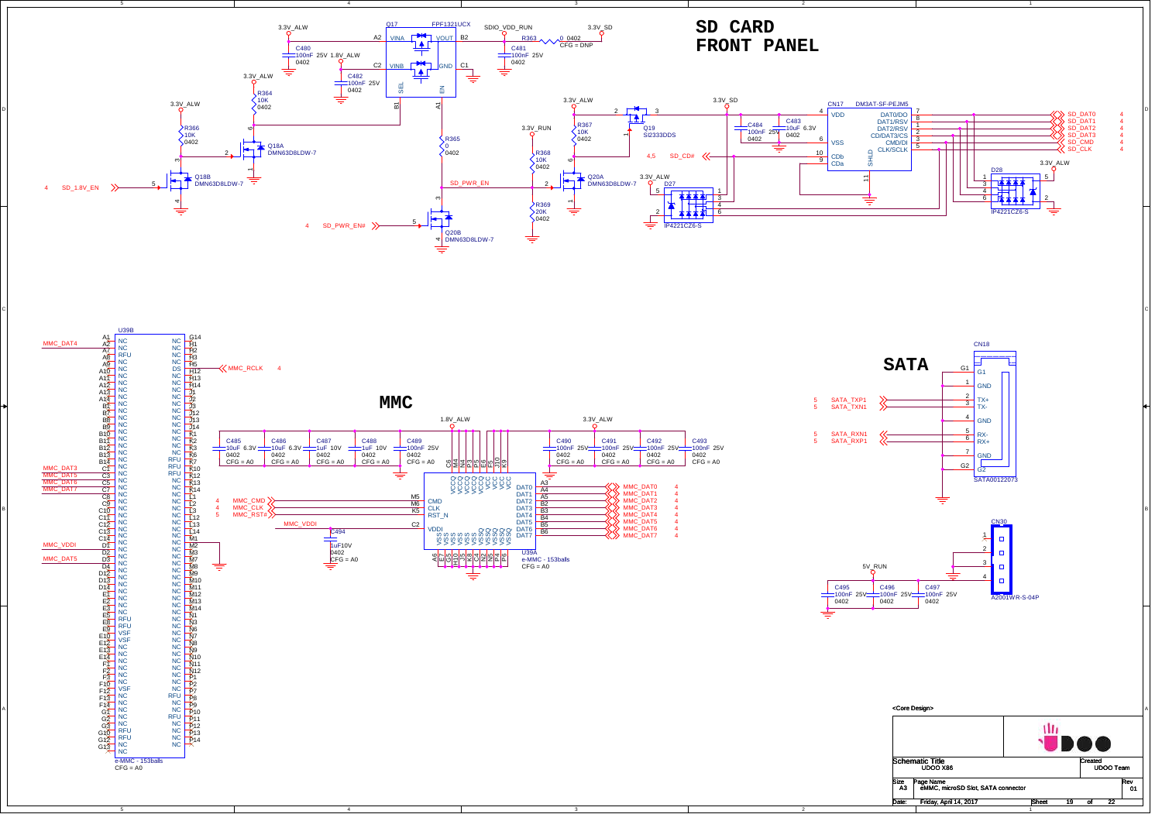

c production of the contract of the contract of the contract of the contract of the contract of the contract of



3

5

B

A

C Friday, April 14, 2017 Sheet 19 of 01<u>19 of 22</u>

**Altr** 

Created UDOO Team

2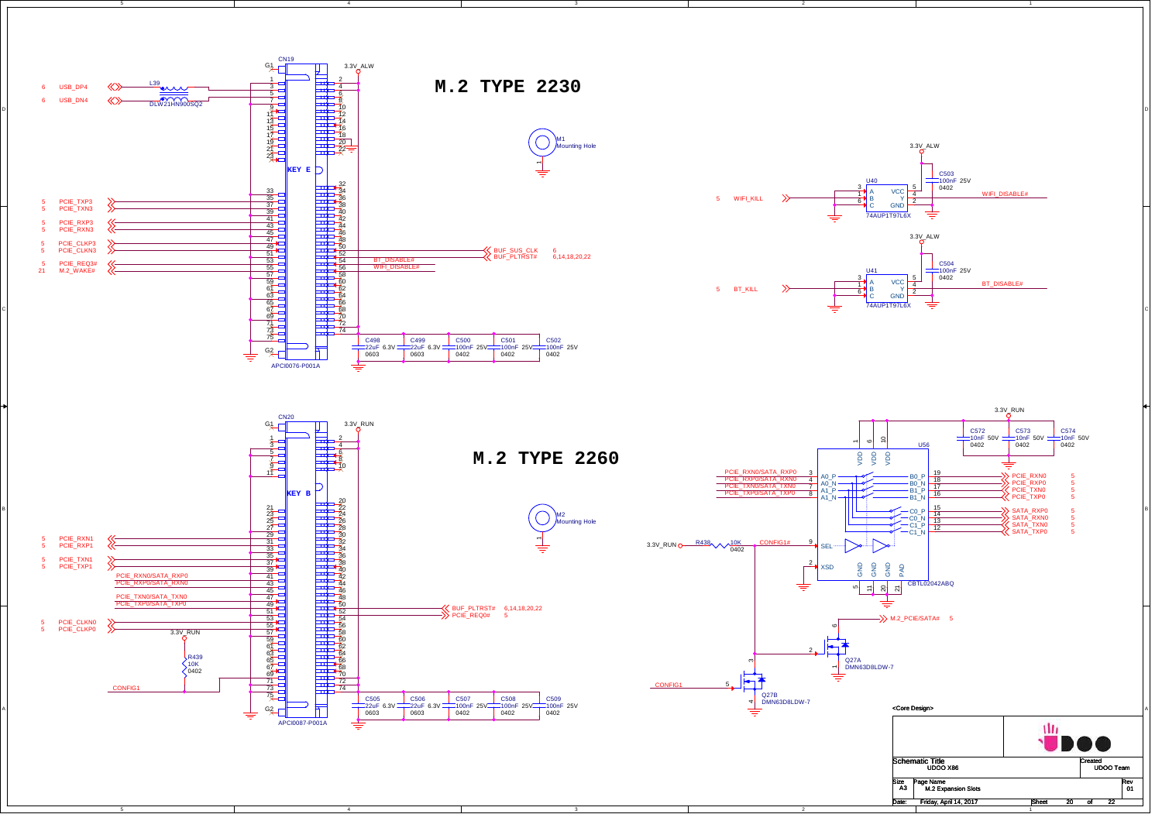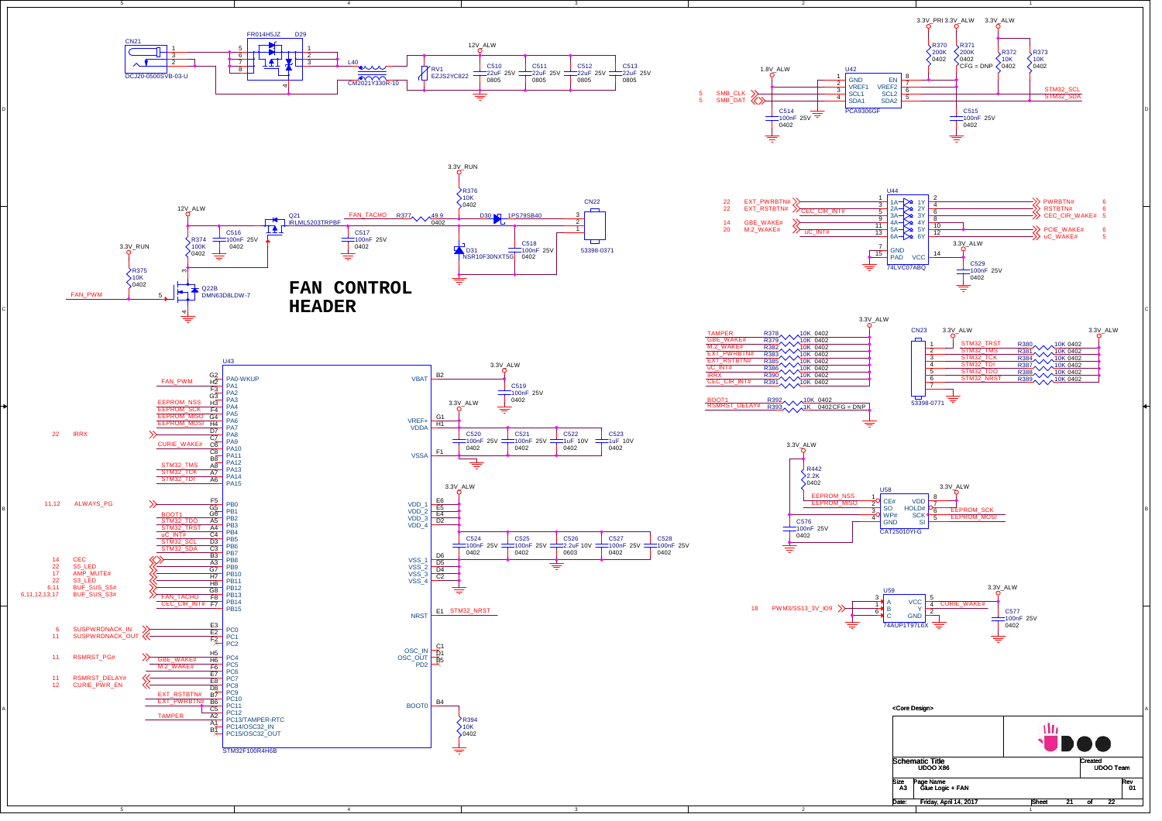